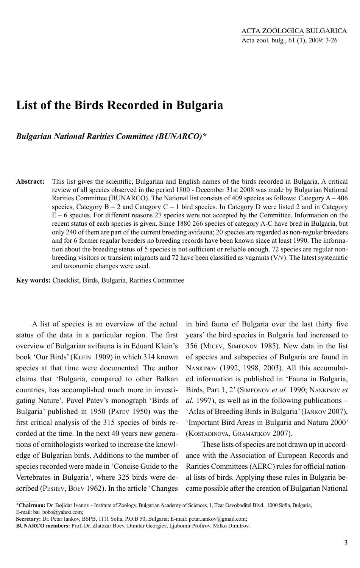# **List of the Birds Recorded in Bulgaria**

*Bulgarian National Rarities Committee (BUNARCO)\**

Abstract: This list gives the scientific, Bulgarian and English names of the birds recorded in Bulgaria. A critical review of all species observed in the period 1800 - December 31st 2008 was made by Bulgarian National Rarities Committee (BUNARCO). The National list consists of 409 species as follows: Category A – 406 species, Category  $B - 2$  and Category  $C - 1$  bird species. In Category D were listed 2 and in Category E – 6 species. For different reasons 27 species were not accepted by the Committee. Information on the recent status of each species is given. Since 1880 266 species of category A-C have bred in Bulgaria, but only 240 of them are part of the current breeding avifauna; 20 species are regarded as non-regular breeders and for 6 former regular breeders no breeding records have been known since at least 1990. The information about the breeding status of 5 species is not sufficient or reliable enough. 72 species are regular nonbreeding visitors or transient migrants and 72 have been classified as vagrants  $(V/v)$ . The latest systematic and taxonomic changes were used.

**Key words:** Checklist, Birds, Bulgaria, Rarities Committee

A list of species is an overview of the actual status of the data in a particular region. The first overview of Bulgarian avifauna is in Eduard Klein's book 'Our Birds' (KLEIN 1909) in which 314 known species at that time were documented. The author claims that 'Bulgaria, compared to other Balkan countries, has accomplished much more in investigating Nature'. Pavel Patev's monograph 'Birds of Bulgaria' published in 1950 (PATEV 1950) was the first critical analysis of the 315 species of birds recorded at the time. In the next 40 years new generations of ornithologists worked to increase the knowledge of Bulgarian birds. Additions to the number of species recorded were made in 'Concise Guide to the Vertebrates in Bulgaria', where 325 birds were described (PESHEV, BOEV 1962). In the article 'Changes

in bird fauna of Bulgaria over the last thirty five years' the bird species in Bulgaria had increased to 356 (MICEV, SIMEONOV 1985). New data in the list of species and subspecies of Bulgaria are found in NANKINOV (1992, 1998, 2003). All this accumulated information is published in 'Fauna in Bulgaria, Birds, Part 1, 2' (SIMEONOV *et al.* 1990; NANKINOV *et al.* 1997), as well as in the following publications – 'Atlas of Breeding Birds in Bulgaria' (IANKOV 2007), 'Important Bird Areas in Bulgaria and Natura 2000' (KOSTADINOVA, GRAMATIKOV 2007).

These lists of species are not drawn up in accordance with the Association of European Records and Rarities Committees (AERC) rules for official national lists of birds. Applying these rules in Bulgaria became possible after the creation of Bulgarian National

<sup>\*</sup>**Chairman:** Dr. Bojidar Ivanov **-** Institute of Zoology, Bulgarian Academy of Sciences, 1, Tzar Osvoboditel Blvd., 1000 Sofia, Bulgaria, E-mail: bai\_bobo@yahoo.com;

Secretary: Dr. Petar Iankov, BSPB, 1111 Sofia, P.O.B 50, Bulgaria; E-mail: petar.iankov@gmail.com;

BUNARCO members: Prof. Dr. Zlatozar Boev, Dimitar Georgiev, Ljubomir Profirov, Milko Dimitrov.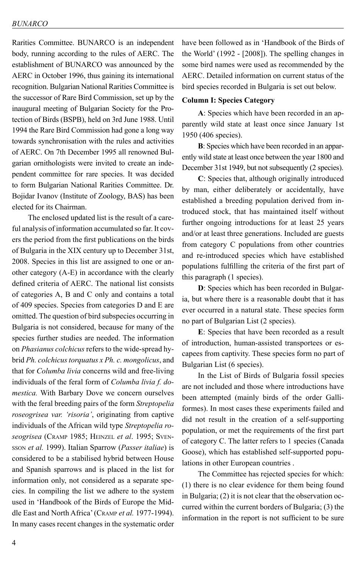Rarities Committee. BUNARCO is an independent body, running according to the rules of AERC. The establishment of BUNARCO was announced by the AERC in October 1996, thus gaining its international recognition. Bulgarian National Rarities Committee is the successor of Rare Bird Commission, set up by the inaugural meeting of Bulgarian Society for the Protection of Birds (BSPB), held on 3rd June 1988. Until 1994 the Rare Bird Commission had gone a long way towards synchronisation with the rules and activities of AERC. On 7th December 1995 all renowned Bulgarian ornithologists were invited to create an independent committee for rare species. It was decided to form Bulgarian National Rarities Committee. Dr. Bojidar Ivanov (Institute of Zoology, BAS) has been elected for its Chairman.

The enclosed updated list is the result of a careful analysis of information accumulated so far. It covers the period from the first publications on the birds of Bulgaria in the XIX century up to December 31st, 2008. Species in this list are assigned to one or another category (A-E) in accordance with the clearly defined criteria of AERC. The national list consists of categories A, B and C only and contains a total of 409 species. Species from categories D and E are omitted. The question of bird subspecies occurring in Bulgaria is not considered, because for many of the species further studies are needed. The information on *Phasianus colchicus* refers to the wide-spread hybrid *Ph. colchicus torquatus x Ph. c. mongolicus*, and that for *Columba livia* concerns wild and free-living individuals of the feral form of *Columba livia f. domestica.* With Barbary Dove we concern ourselves with the feral breeding pairs of the form *Streptopelia roseogrisea var. 'risoria'*, originating from captive individuals of the African wild type *Streptopelia roseogrisea* (CRAMP 1985; HEINZEL *et al*. 1995; SVEN-SSON *et al.* 1999). Italian Sparrow (*Passer italiae*) is considered to be a stabilised hybrid between House and Spanish sparrows and is placed in the list for information only, not considered as a separate species. In compiling the list we adhere to the system used in 'Handbook of the Birds of Europe the Middle East and North Africa' (CRAMP *et al.* 1977-1994). In many cases recent changes in the systematic order

have been followed as in 'Handbook of the Birds of the World' (1992 - [2008]). The spelling changes in some bird names were used as recommended by the AERC. Detailed information on current status of the bird species recorded in Bulgaria is set out below.

## **Column I: Species Category**

**А**: Species which have been recorded in an apparently wild state at least once since January 1st 1950 (406 species).

**В**: Species which have been recorded in an apparently wild state at least once between the year 1800 and December 31st 1949, but not subsequently (2 species).

**С**: Species that, although originally introduced by man, either deliberately or accidentally, have established a breeding population derived from introduced stock, that has maintained itself without further ongoing introductions for at least 25 years and/or at least three generations. Included are guests from category C populations from other countries and re-introduced species which have established populations fulfilling the criteria of the first part of this paragraph (1 species).

**D**: Species which has been recorded in Bulgaria, but where there is a reasonable doubt that it has ever occurred in a natural state. These species form no part of Bulgarian List (2 species).

**Е**: Species that have been recorded as a result of introduction, human-assisted transportees or escapees from captivity. These species form no part of Bulgarian List (6 species).

In the List of Birds of Bulgaria fossil species are not included and those where introductions have been attempted (mainly birds of the order Galliformes). In most cases these experiments failed and did not result in the creation of a self-supporting population, or met the requirements of the first part of category C. The latter refers to 1 species (Canada Goose), which has established self-supported populations in other European countries .

The Committee has rejected species for which: (1) there is no clear evidence for them being found in Bulgaria; (2) it is not clear that the observation occurred within the current borders of Bulgaria; (3) the information in the report is not sufficient to be sure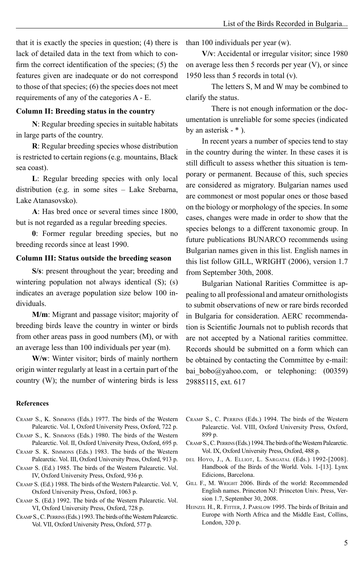## **Column II: Breeding status in the country**

**N**: Regular breeding species in suitable habitats in large parts of the country.

**R**: Regular breeding species whose distribution is restricted to certain regions (e.g. mountains, Black sea coast).

**L**: Regular breeding species with only local distribution (e.g. in some sites – Lake Srebarna, Lake Atanasovsko).

**A**: Has bred once or several times since 1800, but is not regarded as a regular breeding species.

**0**: Former regular breeding species, but no breeding records since at least 1990.

## **Column III: Status outside the breeding season**

**S/s**: present throughout the year; breeding and wintering population not always identical  $(S)$ ;  $(s)$ indicates an average population size below 100 individuals.

**M/m**: Migrant and passage visitor; majority of breeding birds leave the country in winter or birds from other areas pass in good numbers (M), or with an average less than 100 individuals per year (m).

**W/w**: Winter visitor; birds of mainly northern origin winter regularly at least in a certain part of the country (W); the number of wintering birds is less

#### **References**

CRAMP S., K. SIMMONS (Eds.) 1977. The birds of the Western Palearctic. Vol. I, Oxford University Press, Oxford, 722 p.

CRAMP S., K. SIMMONS (Eds.) 1980. The birds of the Western Palearctic. Vol. II, Oxford University Press, Oxford, 695 p.

- CRAMP S. K. SIMMONS (Eds.) 1983. The birds of the Western Palearctic. Vol. III, Oxford University Press, Oxford, 913 p.
- CRAMP S. (Ed.) 1985. The birds of the Western Palearctic. Vol. IV, Oxford University Press, Oxford, 936 p.
- CRAMP S. (Ed.) 1988. The birds of the Western Palearctic. Vol. V, Oxford University Press, Oxford, 1063 p.
- CRAMP S. (Ed.) 1992. The birds of the Western Palearctic. Vol. VI, Oxford University Press, Oxford, 728 p.
- CRAMP S., C. PERRINS (Eds.) 1993. The birds of the Western Palearctic. Vol. VII, Oxford University Press, Oxford, 577 p.

than 100 individuals per year (w).

**V/v**: Accidental or irregular visitor; since 1980 on average less then 5 records per year (V), or since 1950 less than 5 records in total (v).

 The letters S, M and W may be combined to clarify the status.

 There is not enough information or the documentation is unreliable for some species (indicated by an asterisk - \* ).

In recent years a number of species tend to stay in the country during the winter. In these cases it is still difficult to assess whether this situation is temporary or permanent. Because of this, such species are considered as migratory. Bulgarian names used are commonest or most popular ones or those based on the biology or morphology of the species. In some cases, changes were made in order to show that the species belongs to a different taxonomic group. In future publications BUNARCO recommends using Bulgarian names given in this list. English names in this list follow GILL, WRIGHT (2006), version 1.7 from September 30th, 2008.

Bulgarian National Rarities Committee is appealing to all professional and amateur ornithologists to submit observations of new or rare birds recorded in Bulgaria for consideration. AERC recommendation is Scientific Journals not to publish records that are not accepted by a National rarities committee. Records should be submitted on a form which can be obtained by contacting the Committee by e-mail: bai bobo $\omega$ yahoo.com, or telephoning: (00359) 29885115, ext. 617

- CRAMP S., C. PERRINS (Eds.) 1994. The birds of the Western Palearctic. Vol. VIII, Oxford University Press, Oxford, 899 p.
- CRAMP S., C. PERRINS (Eds.) 1994. The birds of the Western Palearctic. Vol. IX, Oxford University Press, Oxford, 488 p.
- DEL HOYO, J., A. ELLIOT, L. SARGATAL (Eds.) 1992-[2008]. Handbook of the Birds of the World. Vols. 1-[13]. Lynx Edicions, Barcelona.
- GILL F., M. WRIGHT 2006. Birds of the world: Recommended English names. Princeton NJ: Princeton Univ. Press, Version 1.7, September 30, 2008.
- HEINZEL H., R. FITTER, J. PARSLOW 1995. The birds of Britain and Europe with North Africa and the Middle East, Collins, London, 320 p.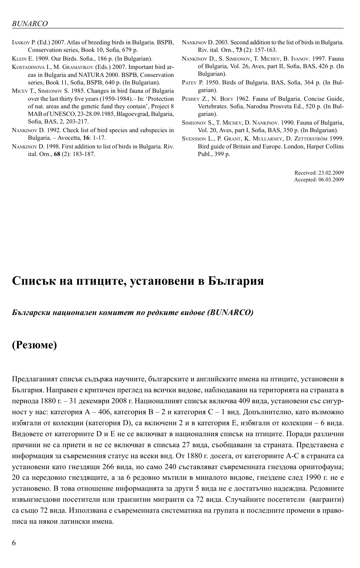- IANKOV P. (Ed.) 2007. Atlas of breeding birds in Bulgaria. BSPB, Conservation series, Book 10, Sofia, 679 p.
- KLEIN E. 1909. Our Birds. Sofia., 186 p. (In Bulgarian).
- KOSTADINOVA I., M. GRAMATIKOV (Eds.) 2007. Important bird areas in Bulgaria and NATURA 2000. BSPB, Conservation series, Book 11, Sofia, BSPB, 640 p. (In Bulgarian).
- MICEV T., SIMEONOV S. 1985. Changes in bird fauna of Bulgaria over the last thirty five years (1950-1984). – In: 'Protection of nat. areas and the genetic fund they contain', Project 8 MAB of UNESCO, 23-28.09.1985, Blagoevgrad, Bulgaria, Sofia, BAS, 2, 203-217.
- NANKINOV D. 1992. Check list of bird species and subspecies in Bulgaria. – Avocetta, **16**: 1-17.
- NANKINOV D. 1998. First addition to list of birds in Bulgaria. Riv. ital. Orn., **68** (2): 183-187.
- NANKINOV D. 2003. Second addition to the list of birds in Bulgaria. Riv. ital. Orn., **73** (2): 157-163.
- NANKINOV D., S. SIMEONOV, T. MICHEV, B. IVANOV. 1997. Fauna of Bulgaria, Vol. 26, Aves, part II, Sofia, BAS, 426 p. (In Bulgarian).
- PATEV P. 1950. Birds of Bulgaria. BAS, Sofia, 364 p. (In Bulgarian).
- PESHEV Z., N. BOEV 1962. Fauna of Bulgaria. Concise Guide, Vertebrates. Sofia, Narodna Prosveta Ed., 520 p. (In Bulgarian).
- SIMEONOV S., T. MICHEV, D. NANKINOV. 1990. Fauna of Bulgaria, Vol. 20, Aves, part I, Sofia, BAS, 350 p. (In Bulgarian).
- SVENSSON L., P. GRANT, K. MULLARNEY, D. ZETTERSTRÖM 1999. Bird guide of Britain and Europe. London, Harper Collins Publ., 399 p.

Received: 23.02.2009 Accepted: 06.03.2009

# **Списък на птиците, установени <sup>в</sup> България**

*Български национален комитет по редките видове (BUNARCO)*

# **(Резюме)**

Предлаганият списък съдържа научните, българските <sup>и</sup> английските имена на птиците, установени <sup>в</sup> България. Направен <sup>е</sup> критичен преглед на всички видове, наблюдавани на територията на страната <sup>в</sup> периода 1880 г. – 31 декември 2008 <sup>г</sup>. Националният списък включва 409 вида, установени със сигурност у нас: категория А – 406, категория В – 2 <sup>и</sup> категория С – 1 вид. Допълнително, като възможно избягали от колекции (категория D), са включени 2 <sup>и</sup> <sup>в</sup> категория Е, избягали от колекции – 6 вида. Видовете от категориите D <sup>и</sup> Е не се включват <sup>в</sup> националния списък на птиците. Поради различни причини не са приети <sup>и</sup> не се включват <sup>в</sup> списъка 27 вида, съобщавани за страната. Представена <sup>е</sup> информация за съвременния статус на всеки вид. От 1880 <sup>г</sup>. досега, от категориите А-С <sup>в</sup> страната са установени като гнездящи 266 вида, но само 240 съставляват съвременната гнездова орнитофауна; 20 са нередовно гнездящите, <sup>а</sup> за 6 редовно мътили <sup>в</sup> миналото видове, гнездене след 1990 <sup>г</sup>. не <sup>е</sup> установено. В това отношение информацията за други 5 вида не <sup>е</sup> достатъчно надеждна. Редовните извънгнездови посетители или транзитни мигранти са 72 вида. Случайните посетители (вагранти) са също 72 вида. Използвана <sup>е</sup> съвременната систематика на групата <sup>и</sup> последните промени <sup>в</sup> правописа на някои латински имена.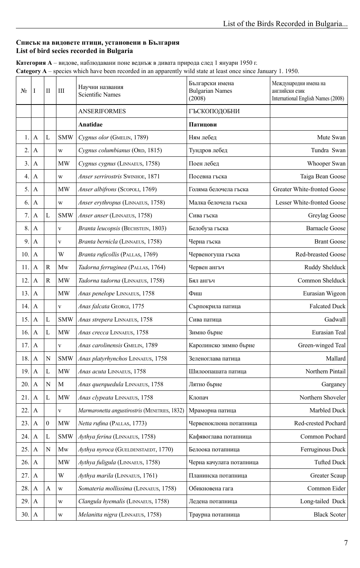# **Списък на видовете птици, установени в България List of bird secies recorded in Bulgaria**

| Категория А – видове, наблюдавани поне веднъж в дивата природа след 1 януари 1950 г.                           |
|----------------------------------------------------------------------------------------------------------------|
| Category A – species which have been recorded in an apparently wild state at least once since January 1. 1950. |

| No  | I                         | П                | Ш                               | Научни названия<br><b>Scientific Names</b>    | Български имена<br><b>Bulgarian Names</b><br>(2008) | Международни имена на<br>английски език<br>International English Names (2008) |
|-----|---------------------------|------------------|---------------------------------|-----------------------------------------------|-----------------------------------------------------|-------------------------------------------------------------------------------|
|     |                           |                  |                                 | <b>ANSERIFORMES</b>                           | ГЪСКОПОДОБНИ                                        |                                                                               |
|     |                           |                  |                                 | Anatidae                                      | Патицови                                            |                                                                               |
| 1.  | A                         | L                | <b>SMW</b>                      | Cygnus olor (GMELIN, 1789)                    | Ням лебед                                           | Mute Swan                                                                     |
| 2.  | Α                         |                  | W                               | Cygnus columbianus (ORD, 1815)                | Тундров лебед                                       | Tundra Swan                                                                   |
| 3.  | A                         |                  | MW                              | Cygnus cygnus (LINNAEUS, 1758)                | Поен лебед                                          | Whooper Swan                                                                  |
| 4.  | А                         |                  | W                               | Anser serrirostris SWINHOE, 1871              | Посевна гъска                                       | Taiga Bean Goose                                                              |
| 5.  | A                         |                  | MW                              | Anser albifrons (Scopoll, 1769)               | Голяма белочела гъска                               | Greater White-fronted Goose                                                   |
| 6.  | A                         |                  | W                               | Anser erythropus (LINNAEUS, 1758)             | Малка белочела гъска                                | Lesser White-fronted Goose                                                    |
| 7.  | A                         | L                | <b>SMW</b>                      | Anser anser (LINNAEUS, 1758)                  | Сива гъска                                          | Greylag Goose                                                                 |
| 8.  | A                         |                  | V                               | Branta leucopsis (BECHSTEIN, 1803)            | Белобуза гъска                                      | <b>Barnacle Goose</b>                                                         |
| 9.  | A                         |                  | V                               | Branta bernicla (LINNAEUS, 1758)              | Черна гъска                                         | <b>Brant Goose</b>                                                            |
| 10. | A                         |                  | W                               | Branta ruficollis (PALLAS, 1769)              | Червеногуша гъска                                   | Red-breasted Goose                                                            |
| 11. | A                         | $\mathbb{R}$     | Mw                              | Tadorna ferruginea (PALLAS, 1764)             | Червен ангъч                                        | Ruddy Shelduck                                                                |
| 12. | A                         | R                | <b>MW</b>                       | Tadorna tadorna (LINNAEUS, 1758)              | Бял ангъч                                           | Common Shelduck                                                               |
| 13. | A                         |                  | MW                              | Anas penelope LINNAEUS, 1758                  | Фиш                                                 | Eurasian Wigeon                                                               |
| 14. | A                         |                  | V                               | Anas falcata GEORGI, 1775                     | Сърпокрила патица                                   | <b>Falcated Duck</b>                                                          |
| 15. | A                         | L                | <b>SMW</b>                      | Anas strepera LINNAEUS, 1758                  | Сива патица                                         | Gadwall                                                                       |
| 16. | A                         | L                | MW                              | Anas crecca LINNAEUS, 1758                    | Зимно бърне                                         | Eurasian Teal                                                                 |
| 17. | A                         |                  | V                               | Anas carolinensis GMELIN, 1789                | Каролинско зимно бърне                              | Green-winged Teal                                                             |
| 18. | A                         | $\mathbf N$      | <b>SMW</b>                      | Anas platyrhynchos LINNAEUS, 1758             | Зеленоглава патица                                  | Mallard                                                                       |
| 19. | A                         | $\mathbf L$      | MW                              | Anas acuta LINNAEUS, 1758                     | Шилоопашата патица                                  | Northern Pintail                                                              |
| 20. | A                         | N                | M                               | Anas querquedula LINNAEUS, 1758               | Лятно бърне                                         | Garganey                                                                      |
| 21. | $\boldsymbol{\mathsf{A}}$ | $\mathbf L$      | $\ensuremath{\text{MW}}\xspace$ | Anas clypeata LINNAEUS, 1758                  | Клопач                                              | Northern Shoveler                                                             |
| 22. | A                         |                  | V                               | Marmaronetta angustirostris (MENETRIES, 1832) | Мраморна патица                                     | Marbled Duck                                                                  |
| 23. | A                         | $\boldsymbol{0}$ | MW                              | Netta rufina (PALLAS, 1773)                   | Червеноклюна потапница                              | Red-crested Pochard                                                           |
| 24. | A                         | L                | <b>SMW</b>                      | Aythya ferina (LINNAEUS, 1758)                | Кафявоглава потапница                               | Common Pochard                                                                |
| 25. | A                         | N                | Mw                              | Aythya nyroca (GUELDENSTAEDT, 1770)           | Белоока потапница                                   | Ferruginous Duck                                                              |
| 26. | A                         |                  | MW                              | Aythya fuligula (LINNAEUS, 1758)              | Черна качулата потапница                            | <b>Tufted Duck</b>                                                            |
| 27. | A                         |                  | W                               | Aythya marila (LINNAEUS, 1761)                | Планинска потапница                                 | Greater Scaup                                                                 |
| 28. | A                         | A                | W                               | Somateria mollissima (LINNAEUS, 1758)         | Обикновена гага                                     | Common Eider                                                                  |
| 29. | A                         |                  | W                               | Clangula hyemalis (LINNAEUS, 1758)            | Ледена потапница                                    | Long-tailed Duck                                                              |
| 30. | A                         |                  | W                               | Melanitta nigra (LINNAEUS, 1758)              | Траурна потапница                                   | <b>Black Scoter</b>                                                           |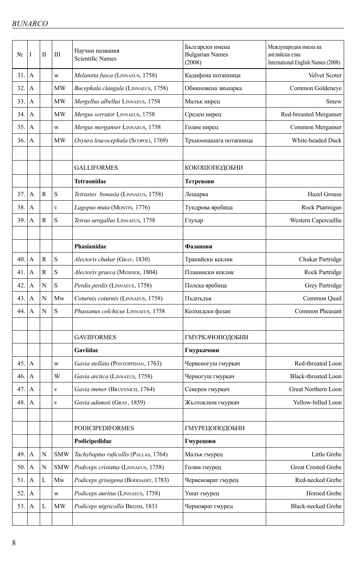| No  | I            | П            | Ш                               | Научни названия<br><b>Scientific Names</b> | Български имена<br><b>Bulgarian Names</b><br>(2008) | Международни имена на<br>английски език<br>International English Names (2008) |
|-----|--------------|--------------|---------------------------------|--------------------------------------------|-----------------------------------------------------|-------------------------------------------------------------------------------|
| 31. | A            |              | W                               | Melanitta fusca (LINNAEUS, 1758)           | Кадифена потапница                                  | Velvet Scoter                                                                 |
| 32. | A            |              | <b>MW</b>                       | Bucephala clangula (LINNAEUS, 1758)        | Обикновена звънарка                                 | Common Goldeneye                                                              |
| 33. | A            |              | <b>MW</b>                       | Mergellus albellus LINNAEUS, 1758          | Малък нирец                                         | Smew                                                                          |
| 34. | A            |              | <b>MW</b>                       | Mergus serrator LINNAEUS, 1758             | Среден нирец                                        | Red-breasted Merganser                                                        |
| 35. | A            |              | W                               | Mergus merganser LINNAEUS, 1758            | Голям нирец                                         | Common Merganser                                                              |
| 36. | A            |              | MW                              | Oxyura leucocephala (ScopoLI, 1769)        | Тръноопашата потапница                              | White-headed Duck                                                             |
|     |              |              |                                 |                                            |                                                     |                                                                               |
|     |              |              |                                 | <b>GALLIFORMES</b>                         | КОКОШОПОДОБНИ                                       |                                                                               |
|     |              |              |                                 | Tetraonidae                                | Тетревови                                           |                                                                               |
| 37. | A            | $\mathbb{R}$ | S                               | Tetrastes bonasia (LINNAEUS, 1758)         | Лещарка                                             | Hazel Grouse                                                                  |
| 38. | A            |              | $\mathbf{V}$                    | Lagopus muta (MONTIN, 1776)                | Тундрова яребица                                    | Rock Ptarmigan                                                                |
| 39. | A            | R            | S                               | Tetrao urogallus LINNAEUS, 1758            | Глухар                                              | Western Capercaillie                                                          |
|     |              |              |                                 |                                            |                                                     |                                                                               |
|     |              |              |                                 | Phasianidae                                | Фазанови                                            |                                                                               |
| 40. | A            | R            | $\mathbf S$                     | Alectoris chukar (GRAY, 1830)              | Тракийски кеклик                                    | Chukar Partridge                                                              |
| 41. | A            | R            | ${\bf S}$                       | Alectoris graeca (MEISNER, 1804)           | Планински кеклик                                    | Rock Partridge                                                                |
| 42. | A            | N            | ${\bf S}$                       | Perdix perdix (LINNAEUS, 1758)             | Полска яребица                                      | Grey Partridge                                                                |
| 43. | A            | N            | Mw                              | Coturnix coturnix (LINNAEUS, 1758)         | Пъдпъдък                                            | Common Quail                                                                  |
| 44. | A            | $\mathbf N$  | S                               | Phasianus colchicus LINNAEUS, 1758         | Колхидски фазан                                     | Common Pheasant                                                               |
|     |              |              |                                 |                                            |                                                     |                                                                               |
|     |              |              |                                 | <b>GAVIIFORMES</b>                         | ГМУРКАЧОПОДОБНИ                                     |                                                                               |
|     |              |              |                                 | Gaviidae                                   | Гмуркачови                                          |                                                                               |
| 45. | A            |              | W                               | Gavia stellata (PONTOPPIDAN, 1763)         | Червеногуш гмуркач                                  | Red-throated Loon                                                             |
| 46. | A            |              | W                               | Gavia arctica (LINNAEUS, 1758)             | Черногуш гмуркач                                    | Black-throated Loon                                                           |
| 47. | A            |              | $\mathbf V$                     | Gavia immer (BRUENNICH, 1764)              | Северен гмуркач                                     | Great Northern Loon                                                           |
| 48. | A            |              | $\mathbf{V}$                    | Gavia adamsii (GRAY, 1859)                 | Жълтоклюн гмуркач                                   | Yellow-billed Loon                                                            |
|     |              |              |                                 |                                            |                                                     |                                                                               |
|     |              |              |                                 | <b>PODICIPEDIFORMES</b>                    | ГМУРЕЦОПОДОБНИ                                      |                                                                               |
|     |              |              |                                 | Podicipedidae                              | Гмурецови                                           |                                                                               |
| 49. | $\mathbf{A}$ | $\mathbf N$  | <b>SMW</b>                      | Tachybaptus ruficollis (PALLAS, 1764)      | Малък гмурец                                        | Little Grebe                                                                  |
| 50. | A            | N            | <b>SMW</b>                      | Podiceps cristatus (LINNAEUS, 1758)        | Голям гмурец                                        | Great Crested Grebe                                                           |
| 51. | A            | L            | Mw                              | Podiceps grisegena (BODDAERT, 1783)        | Червеноврат гмурец                                  | Red-necked Grebe                                                              |
| 52. | A            |              | W                               | Podiceps auritus (LINNAEUS, 1758)          | Ушат гмурец                                         | Horned Grebe                                                                  |
| 53. | A            | L            | $\ensuremath{\text{MW}}\xspace$ | Podiceps nigricollis BREHM, 1831           | Черноврат гмурец                                    | <b>Black-necked Grebe</b>                                                     |
|     |              |              |                                 |                                            |                                                     |                                                                               |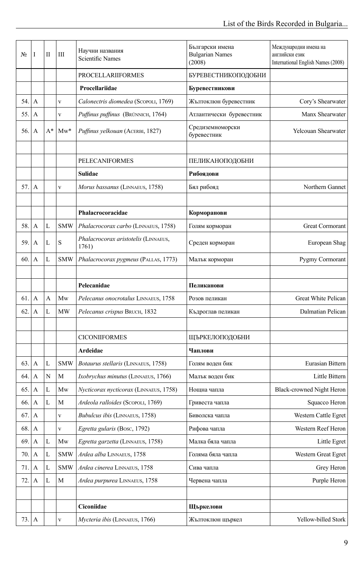| N <sub>2</sub> | I            | П           | Ш           | Научни названия<br><b>Scientific Names</b>    | Български имена<br><b>Bulgarian Names</b><br>(2008) | Международни имена на<br>английски език<br>International English Names (2008) |
|----------------|--------------|-------------|-------------|-----------------------------------------------|-----------------------------------------------------|-------------------------------------------------------------------------------|
|                |              |             |             | <b>PROCELLARIIFORMES</b>                      | БУРЕВЕСТНИКОПОДОБНИ                                 |                                                                               |
|                |              |             |             | Procellariidae                                | Буревестникови                                      |                                                                               |
| 54.            | A            |             | $\mathbf V$ | Calonectris diomedea (SCOPOLI, 1769)          | Жълтоклюн буревестник                               | Cory's Shearwater                                                             |
| 55.            | A            |             | $\mathbf V$ | Puffinus puffinus (BRÜNNICH, 1764)            | Атлантически буревестник                            | Manx Shearwater                                                               |
| 56.            | A            | $A^*$       | $Mw^*$      | Puffinus yelkouan (ACERBI, 1827)              | Средиземноморски<br>буревестник                     | Yelcouan Shearwater                                                           |
|                |              |             |             |                                               |                                                     |                                                                               |
|                |              |             |             | <b>PELECANIFORMES</b>                         | ПЕЛИКАНОПОДОБНИ                                     |                                                                               |
|                |              |             |             | <b>Sulidae</b>                                | Рибоядови                                           |                                                                               |
| 57.            | A            |             | $\mathbf V$ | Morus bassanus (LINNAEUS, 1758)               | Бял рибояд                                          | Northern Gannet                                                               |
|                |              |             |             |                                               |                                                     |                                                                               |
|                |              |             |             | Phalacrocoracidae                             | Корморанови                                         |                                                                               |
| 58.            | A            | L           | <b>SMW</b>  | Phalacrocorax carbo (LINNAEUS, 1758)          | Голям корморан                                      | <b>Great Cormorant</b>                                                        |
| 59.            | A            | L           | S           | Phalacrocorax aristotelis (LINNAEUS,<br>1761) | Среден корморан                                     | European Shag                                                                 |
| 60.            | A            | L           | <b>SMW</b>  | Phalacrocorax pygmeus (PALLAS, 1773)          | Малък корморан                                      | Pygmy Cormorant                                                               |
|                |              |             |             |                                               |                                                     |                                                                               |
|                |              |             |             | Pelecanidae                                   | Пеликанови                                          |                                                                               |
| 61.            | A            | A           | Mw          | Pelecanus onocrotalus LINNAEUS, 1758          | Розов пеликан                                       | Great White Pelican                                                           |
| 62.            | A            | L           | <b>MW</b>   | Pelecanus crispus BRUCH, 1832                 | Къдроглав пеликан                                   | Dalmatian Pelican                                                             |
|                |              |             |             |                                               |                                                     |                                                                               |
|                |              |             |             | <b>CICONIIFORMES</b>                          | ЩЪРКЕЛОПОДОБНИ                                      |                                                                               |
|                |              |             |             | Ardeidae                                      | Чаплови                                             |                                                                               |
| 63.            | $\mathbf{A}$ | L           | <b>SMW</b>  | Botaurus stellaris (LINNAEUS, 1758)           | Голям воден бик                                     | Eurasian Bittern                                                              |
| 64.            | A            | $\mathbf N$ | M           | Ixobrychus minutus (LINNAEUS, 1766)           | Малък воден бик                                     | Little Bittern                                                                |
| 65.            | A            | L           | Mw          | Nycticorax nycticorax (LINNAEUS, 1758)        | Нощна чапла                                         | <b>Black-crowned Night Heron</b>                                              |
| 66.            | A            | L           | M           | Ardeola ralloides (ScopoLI, 1769)             | Гривеста чапла                                      | Squacco Heron                                                                 |
| 67.            | A            |             | V           | Bubulcus ibis (LINNAEUS, 1758)                | Биволска чапла                                      | Western Cattle Egret                                                          |
| 68.            | A            |             | V           | Egretta gularis (Bosc, 1792)                  | Рифова чапла                                        | Western Reef Heron                                                            |
| 69.            | A            | L           | Mw          | Egretta garzetta (LINNAEUS, 1758)             | Малка бяла чапла                                    | Little Egret                                                                  |
| 70.            | A            | L           | <b>SMW</b>  | Ardea alba LINNAEUS, 1758                     | Голяма бяла чапла                                   | Western Great Egret                                                           |
| 71.            | A            | L           | <b>SMW</b>  | Ardea cinerea LINNAEUS, 1758                  | Сива чапла                                          | Grey Heron                                                                    |
| 72.            | A            | L           | M           | Ardea purpurea LINNAEUS, 1758                 | Червена чапла                                       | Purple Heron                                                                  |
|                |              |             |             |                                               |                                                     |                                                                               |
|                |              |             |             | Ciconiidae                                    | Щъркелови                                           |                                                                               |
| 73.            | $\mathbf{A}$ |             | V           | Mycteria ibis (LINNAEUS, 1766)                | Жълтоклюн щъркел                                    | Yellow-billed Stork                                                           |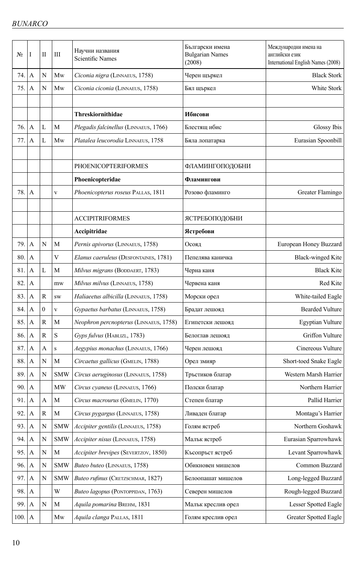| No   | I            | П                | Ш                               | Научни названия<br><b>Scientific Names</b> | Български имена<br><b>Bulgarian Names</b><br>(2008) | Международни имена на<br>английски език<br>International English Names (2008) |
|------|--------------|------------------|---------------------------------|--------------------------------------------|-----------------------------------------------------|-------------------------------------------------------------------------------|
| 74.  | A            | N                | Mw                              | Ciconia nigra (LINNAEUS, 1758)             | Черен щъркел                                        | <b>Black Stork</b>                                                            |
| 75.  | А            | N                | Mw                              | Ciconia ciconia (LINNAEUS, 1758)           | Бял щъркел                                          | White Stork                                                                   |
|      |              |                  |                                 |                                            |                                                     |                                                                               |
|      |              |                  |                                 | Threskiornithidae                          | Ибисови                                             |                                                                               |
| 76.  | A            | L                | M                               | Plegadis falcinellus (LINNAEUS, 1766)      | Блестяш ибис                                        | Glossy Ibis                                                                   |
| 77.  | A            | L                | Mw                              | Platalea leucorodia LINNAEUS, 1758         | Бяла лопатарка                                      | Eurasian Spoonbill                                                            |
|      |              |                  |                                 |                                            |                                                     |                                                                               |
|      |              |                  |                                 | <b>PHOENICOPTERIFORMES</b>                 | ФЛАМИНГОПОДОБНИ                                     |                                                                               |
|      |              |                  |                                 | Phoenicopteridae                           | Фламингови                                          |                                                                               |
| 78.  | A            |                  | $\mathbf V$                     | Phoenicopterus roseus PALLAS, 1811         | Розово фламинго                                     | Greater Flamingo                                                              |
|      |              |                  |                                 |                                            |                                                     |                                                                               |
|      |              |                  |                                 | <b>ACCIPITRIFORMES</b>                     | ЯСТРЕБОПОДОБНИ                                      |                                                                               |
|      |              |                  |                                 | Accipitridae                               | Ястребови                                           |                                                                               |
| 79.  | A            | N                | M                               | Pernis apivorus (LINNAEUS, 1758)           | Осояд                                               | European Honey Buzzard                                                        |
| 80.  | A            |                  | $\mathbf V$                     | Elanus caeruleus (DESFONTAINES, 1781)      | Пепелява каничка                                    | <b>Black-winged Kite</b>                                                      |
| 81.  | А            | L                | М                               | Milvus migrans (BODDAERT, 1783)            | Черна каня                                          | <b>Black Kite</b>                                                             |
| 82.  | A            |                  | mw                              | Milvus milvus (LINNAEUS, 1758)             | Червена каня                                        | Red Kite                                                                      |
| 83.  | A            | R                | SW                              | Haliaeetus albicilla (LINNAEUS, 1758)      | Морски орел                                         | White-tailed Eagle                                                            |
| 84.  | A            | $\mathbf{0}$     | $\mathbf{V}$                    | Gypaetus barbatus (LINNAEUS, 1758)         | Брадат лешояд                                       | <b>Bearded Vulture</b>                                                        |
| 85.  | A            | R                | М                               | Neophron percnopterus (LINNAEUS, 1758)     | Египетски лешояд                                    | Egyptian Vulture                                                              |
| 86.  | A            | $\mathbb{R}$     | S                               | Gyps fulvus (HABLIZL, 1783)                | Белоглав лешояд                                     | Griffon Vulture                                                               |
| 87.  | A            | А                | $\mathbf S$                     | Aegypius monachus (LINNAEUS, 1766)         | Черен лешояд                                        | Cinereous Vulture                                                             |
| 88.  | A            | $\mathbf N$      | M                               | Circaetus gallicus (GMELIN, 1788)          | Орел змияр                                          | Short-toed Snake Eagle                                                        |
| 89.  | A            | N                | <b>SMW</b>                      | Circus aeruginosus (LINNAEUS, 1758)        | Тръстиков блатар                                    | Western Marsh Harrier                                                         |
| 90.  | A            |                  | $\ensuremath{\text{MW}}\xspace$ | Circus cyaneus (LINNAEUS, 1766)            | Полски блатар                                       | Northern Harrier                                                              |
| 91.  | A            | $\boldsymbol{A}$ | M                               | Circus macrourus (GMELIN, 1770)            | Степен блатар                                       | Pallid Harrier                                                                |
| 92.  | A            | R                | M                               | Circus pygargus (LINNAEUS, 1758)           | Ливаден блатар                                      | Montagu's Harrier                                                             |
| 93.  | A            | N                | <b>SMW</b>                      | Accipiter gentilis (LINNAEUS, 1758)        | Голям ястреб                                        | Northern Goshawk                                                              |
| 94.  | A            | ${\bf N}$        | <b>SMW</b>                      | Accipiter nisus (LINNAEUS, 1758)           | Малък ястреб                                        | Eurasian Sparrowhawk                                                          |
| 95.  | A            | ${\bf N}$        | M                               | Accipiter brevipes (SEVERTZOV, 1850)       | Късопръст ястреб                                    | Levant Sparrowhawk                                                            |
| 96.  | A            | N                | <b>SMW</b>                      | Buteo buteo (LINNAEUS, 1758)               | Обикновен мишелов                                   | Common Buzzard                                                                |
| 97.  | $\mathbf{A}$ | N                | <b>SMW</b>                      | Buteo rufinus (CRETZSCHMAR, 1827)          | Белоопашат мишелов                                  | Long-legged Buzzard                                                           |
| 98.  | $\mathbf{A}$ |                  | W                               | Buteo lagopus (PONTOPPIDAN, 1763)          | Северен мишелов                                     | Rough-legged Buzzard                                                          |
| 99.  | A            | $\mathbf N$      | M                               | Aquila pomarina BREHM, 1831                | Малък креслив орел                                  | Lesser Spotted Eagle                                                          |
| 100. | $\mathbf{A}$ |                  | Mw                              | Aquila clanga PALLAS, 1811                 | Голям креслив орел                                  | Greater Spotted Eagle                                                         |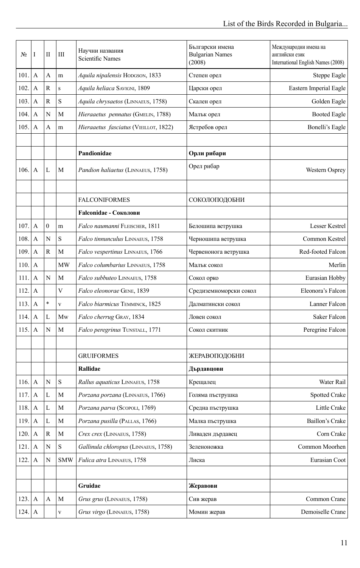| N <sub>2</sub> | I            | П            | Ш           | Научни названия<br><b>Scientific Names</b> | Български имена<br><b>Bulgarian Names</b><br>(2008) | Международни имена на<br>английски език<br>International English Names (2008) |
|----------------|--------------|--------------|-------------|--------------------------------------------|-----------------------------------------------------|-------------------------------------------------------------------------------|
| 101.           | A            | A            | m           | Aquila nipalensis HODGSON, 1833            | Степен орел                                         | Steppe Eagle                                                                  |
| 102.           | A            | $\mathbb{R}$ | S           | Aquila heliaca SAVIGNI, 1809               | Царски орел                                         | Eastern Imperial Eagle                                                        |
| 103.           | $\mathbf{A}$ | $\mathbb{R}$ | $\mathbf S$ | Aquila chrysaetos (LINNAEUS, 1758)         | Скален орел                                         | Golden Eagle                                                                  |
| 104.           | A            | N            | M           | Hieraaetus pennatus (GMELIN, 1788)         | Малък орел                                          | <b>Booted Eagle</b>                                                           |
| 105.           | A            | $\mathbf{A}$ | m           | Hieraaetus fasciatus (VIEILLOT, 1822)      | Ястребов орел                                       | Bonelli's Eagle                                                               |
|                |              |              |             |                                            |                                                     |                                                                               |
|                |              |              |             | Pandionidae                                | Орли рибари                                         |                                                                               |
| 106.           | A            | L            | М           | Pandion haliaetus (LINNAEUS, 1758)         | Орел рибар                                          | Western Osprey                                                                |
|                |              |              |             |                                            |                                                     |                                                                               |
|                |              |              |             | <b>FALCONIFORMES</b>                       | СОКОЛОПОДОБНИ                                       |                                                                               |
|                |              |              |             | Falconidae - Соколови                      |                                                     |                                                                               |
| 107.           | A            | $\mathbf{0}$ | m           | Falco naumanni FLEISCHER, 1811             | Белошипа ветрушка                                   | Lesser Kestrel                                                                |
| 108.           | A            | N            | S           | Falco tinnunculus LINNAEUS, 1758           | Черношипа ветрушка                                  | Common Kestrel                                                                |
| 109.           | A            | $\mathbb{R}$ | М           | Falco vespertinus LINNAEUS, 1766           | Червенонога ветрушка                                | Red-footed Falcon                                                             |
| 110.           | A            |              | <b>MW</b>   | Falco columbarius LINNAEUS, 1758           | Малък сокол                                         | Merlin                                                                        |
| 111.           | $\mathbf{A}$ | N            | М           | Falco subbuteo LINNAEUS, 1758              | Сокол орко                                          | Eurasian Hobby                                                                |
| 112.           | $\mathbf{A}$ |              | V           | Falco eleonorae GENE, 1839                 | Средиземноморски сокол                              | Eleonora's Falcon                                                             |
| 113.           | A            | $\ast$       | $\mathbf V$ | Falco biarmicus TEMMINCK, 1825             | Далматински сокол                                   | Lanner Falcon                                                                 |
| 114.           | $\mathbf{A}$ | L            | Mw          | Falco cherrug GRAY, 1834                   | Ловен сокол                                         | Saker Falcon                                                                  |
| 115.           | A            | N            | M           | Falco peregrinus TUNSTALL, 1771            | Сокол скитник                                       | Peregrine Falcon                                                              |
|                |              |              |             |                                            |                                                     |                                                                               |
|                |              |              |             | <b>GRUIFORMES</b>                          | ЖЕРАВОПОДОБНИ                                       |                                                                               |
|                |              |              |             | Rallidae                                   | Дърдавцови                                          |                                                                               |
| 116.           | $\mathbf{A}$ | ${\bf N}$    | $\mathbf S$ | Rallus aquaticus LINNAEUS, 1758            | Крещалец                                            | Water Rail                                                                    |
| 117.           | $\mathbf{A}$ | L            | M           | Porzana porzana (LINNAEUS, 1766)           | Голяма пъструшка                                    | <b>Spotted Crake</b>                                                          |
| 118.           | A            | L            | M           | Porzana parva (Scopoli, 1769)              | Средна пъструшка                                    | Little Crake                                                                  |
| 119.           | $\mathbf{A}$ | L            | M           | Porzana pusilla (PALLAS, 1766)             | Малка пъструшка                                     | Baillon's Crake                                                               |
| 120.           | $\mathbf{A}$ | $\mathbb{R}$ | M           | Crex crex (LINNAEUS, 1758)                 | Ливаден дърдавец                                    | Corn Crake                                                                    |
| 121.           | $\mathbf{A}$ | N            | S           | Gallinula chloropus (LINNAEUS, 1758)       | Зеленоножка                                         | Common Moorhen                                                                |
| 122.           | A            | N            | <b>SMW</b>  | Fulica atra LINNAEUS, 1758                 | Лиска                                               | Eurasian Coot                                                                 |
|                |              |              |             |                                            |                                                     |                                                                               |
|                |              |              |             | Gruidae                                    | Жеравови                                            |                                                                               |
| 123.           | $\mathbf{A}$ | A            | M           | Grus grus (LINNAEUS, 1758)                 | Сив жерав                                           | Common Crane                                                                  |
| 124.           | A            |              | $\mathbf V$ | Grus virgo (LINNAEUS, 1758)                | Момин жерав                                         | Demoiselle Crane                                                              |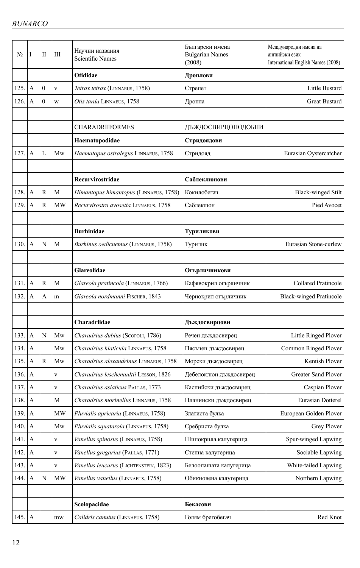| No   | I              | П              | Ш                  | Научни названия<br><b>Scientific Names</b> | Български имена<br><b>Bulgarian Names</b><br>(2008) | Международни имена на<br>английски език<br>International English Names (2008) |
|------|----------------|----------------|--------------------|--------------------------------------------|-----------------------------------------------------|-------------------------------------------------------------------------------|
|      |                |                |                    | <b>Otididae</b>                            | Дроплови                                            |                                                                               |
| 125. | $\overline{A}$ | $\overline{0}$ | $\bar{\mathbf{V}}$ | Tetrax tetrax (LINNAEUS, 1758)             | Стрепет                                             | Little Bustard                                                                |
| 126. | A              | $\mathbf{0}$   | W                  | Otis tarda LINNAEUS, 1758                  | Дропла                                              | <b>Great Bustard</b>                                                          |
|      |                |                |                    |                                            |                                                     |                                                                               |
|      |                |                |                    | <b>CHARADRIIFORMES</b>                     | ДЪЖДОСВИРЦОПОДОБНИ                                  |                                                                               |
|      |                |                |                    | Haematopodidae                             | Стридоядови                                         |                                                                               |
| 127. | A              | L              | Mw                 | Haematopus ostralegus LINNAEUS, 1758       | Стридояд                                            | Eurasian Oystercatcher                                                        |
|      |                |                |                    |                                            |                                                     |                                                                               |
|      |                |                |                    | Recurvirostridae                           | Саблеклюнови                                        |                                                                               |
| 128. | A              | R              | M                  | Himantopus himantopus (LINNAEUS, 1758)     | Кокилобегач                                         | <b>Black-winged Stilt</b>                                                     |
| 129. | A              | $\mathbb{R}$   | <b>MW</b>          | Recurvirostra avosetta LINNAEUS, 1758      | Саблеклюн                                           | Pied Avocet                                                                   |
|      |                |                |                    |                                            |                                                     |                                                                               |
|      |                |                |                    | <b>Burhinidae</b>                          | Туриликови                                          |                                                                               |
| 130. | $\overline{A}$ | N              | M                  | Burhinus oedicnemus (LINNAEUS, 1758)       | Турилик                                             | Eurasian Stone-curlew                                                         |
|      |                |                |                    |                                            |                                                     |                                                                               |
|      |                |                |                    | Glareolidae                                | Огърличникови                                       |                                                                               |
| 131. | $\overline{A}$ | $\mathbb{R}$   | M                  | Glareola pratincola (LINNAEUS, 1766)       | Кафявокрил огърличник                               | <b>Collared Pratincole</b>                                                    |
| 132. | A              | А              | m                  | Glareola nordmanni FISCHER, 1843           | Чернокрил огърличник                                | <b>Black-winged Pratincole</b>                                                |
|      |                |                |                    |                                            |                                                     |                                                                               |
|      |                |                |                    | Charadriidae                               | Дъждосвирцови                                       |                                                                               |
| 133. | A              | N              | Mw                 | Charadrius dubius (SCOPOLI, 1786)          | Речен дъждосвирец                                   | Little Ringed Plover                                                          |
| 134. | A              |                | Mw                 | Charadrius hiaticula LINNAEUS, 1758        | Пясъчен дъждосвирец                                 | Common Ringed Plover                                                          |
| 135. | $\mathbf{A}$   | $\mathbb{R}$   | Mw                 | Charadrius alexandrinus LINNAEUS, 1758     | Морски дъждосвирец                                  | Kentish Plover                                                                |
| 136. | A              |                | $\mathbf V$        | Charadrius leschenaultii LESSON, 1826      | Дебелоклюн дъждосвирец                              | Greater Sand Plover                                                           |
| 137. | $\mathbf{A}$   |                | V                  | Charadrius asiaticus PALLAS, 1773          | Каспийски дъждосвирец                               | Caspian Plover                                                                |
| 138. | A              |                | М                  | Charadrius morinellus LINNAEUS, 1758       | Планински дъждосвирец                               | Eurasian Dotterel                                                             |
| 139. | A              |                | <b>MW</b>          | Pluvialis apricaria (LINNAEUS, 1758)       | Златиста булка                                      | European Golden Plover                                                        |
| 140. | A              |                | Mw                 | Pluvialis squatarola (LINNAEUS, 1758)      | Сребриста булка                                     | Grey Plover                                                                   |
| 141. | A              |                | V                  | Vanellus spinosus (LINNAEUS, 1758)         | Шипокрила калугерица                                | Spur-winged Lapwing                                                           |
| 142. | $\mathbf{A}$   |                | V                  | Vanellus gregarius (PALLAS, 1771)          | Степна калугерица                                   | Sociable Lapwing                                                              |
| 143. | A              |                | V                  | Vanellus leucurus (LICHTENSTEIN, 1823)     | Белоопашата калугерица                              | White-tailed Lapwing                                                          |
| 144. | $\mathbf{A}$   | N              | MW                 | Vanellus vanellus (LINNAEUS, 1758)         | Обикновена калугерица                               | Northern Lapwing                                                              |
|      |                |                |                    |                                            |                                                     |                                                                               |
|      |                |                |                    | Scolopacidae                               | Бекасови                                            |                                                                               |
| 145. | $\mathbf{A}$   |                | mw                 | Calidris canutus (LINNAEUS, 1758)          | Голям брегобегач                                    | Red Knot                                                                      |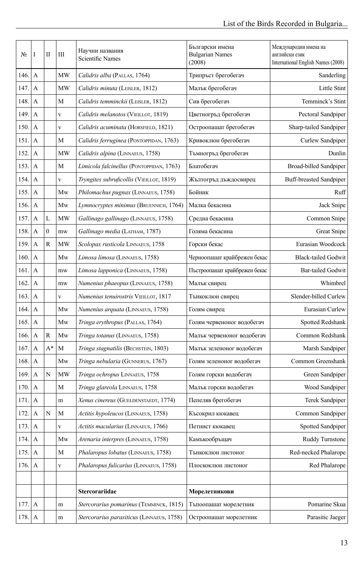| No   | I                | П            | Ш            | Научни названия<br><b>Scientific Names</b> | Български имена<br><b>Bulgarian Names</b><br>(2008) | Международни имена на<br>английски език<br>International English Names (2008) |
|------|------------------|--------------|--------------|--------------------------------------------|-----------------------------------------------------|-------------------------------------------------------------------------------|
| 146. | A                |              | MW           | Calidris alba (PALLAS, 1764)               | Трипръст брегобегач                                 | Sanderling                                                                    |
| 147. | A                |              | MW           | Calidris minuta (LEISLER, 1812)            | Малък брегобегач                                    | Little Stint                                                                  |
| 148. | A                |              | M            | Calidris temminckii (LEISLER, 1812)        | Сив брегобегач                                      | Temminck's Stint                                                              |
| 149. | $\mathbf{A}$     |              | $\mathbf{V}$ | Calidris melanotos (VIEILLOT, 1819)        | Цветногръд брегобегач                               | Pectoral Sandpiper                                                            |
| 150. | $\mathbf{A}$     |              | $\mathbf{V}$ | Calidris acuminata (HORSFIELD, 1821)       | Остроопашат брегобегач                              | Sharp-tailed Sandpiper                                                        |
| 151. | A                |              | $\mathbf M$  | Calidris ferruginea (PONTOPPIDAN, 1763)    | Кривоклюн брегобегач                                | Curlew Sandpiper                                                              |
| 152. | A                |              | MW           | Calidris alpina (LINNAEUS, 1758)           | Тъмногръд брегобегач                                | Dunlin                                                                        |
| 153. | $\mathbf{A}$     |              | M            | Limicola falcinellus (PONTOPPIDAN, 1763)   | Блатобегач                                          | <b>Broad-billed Sandpiper</b>                                                 |
| 154. | A                |              | $\mathbf V$  | Tryngites subruficollis (VIEILLOT, 1819)   | Жълтогръд дъждосвирец                               | <b>Buff-breasted Sandpiper</b>                                                |
| 155. | A                |              | Mw           | Philomachus pugnax (LINNAEUS, 1758)        | Бойник                                              | Ruff                                                                          |
| 156. | $\mathbf{A}$     |              | Mw           | Lymnocryptes minimus (BRUENNICH, 1764)     | Малка бекасина                                      | Jack Snipe                                                                    |
| 157. | A                | L            | <b>MW</b>    | Gallinago gallinago (LINNAEUS, 1758)       | Средна бекасина                                     | Common Snipe                                                                  |
| 158. | $\mathbf{A}$     | $\mathbf{0}$ | mw           | Gallinago media (LATHAM, 1787)             | Голяма бекасина                                     | Great Snipe                                                                   |
| 159. | A                | R            | MW           | Scolopax rusticola LINNAEUS, 1758          | Горски бекас                                        | Eurasian Woodcock                                                             |
| 160. | $\mathbf{A}$     |              | Mw           | Limosa limosa (LINNAEUS, 1758)             | Черноопашат крайбрежен бекас                        | <b>Black-tailed Godwit</b>                                                    |
| 161. | $\mathbf{A}$     |              | mw           | Limosa lapponica (LINNAEUS, 1758)          | Пъстроопашат крайбрежен бекас                       | <b>Bar-tailed Godwit</b>                                                      |
| 162. | A                |              | mw           | Numenius phaeopus (LINNAEUS, 1758)         | Малък свирец                                        | Whimbrel                                                                      |
| 163. | A                |              | $\mathbf{V}$ | Numenius tenuirostris VIEILLOT, 1817       | Тънкоклюн свирец                                    | Slender-billed Curlew                                                         |
| 164. | A                |              | Mw           | Numenius arquata (LINNAEUS, 1758)          | Голям свирец                                        | Eurasian Curlew                                                               |
| 165. | A                |              | Mw           | Tringa erythropus (PALLAS, 1764)           | Голям червеноног водобегач                          | Spotted Redshank                                                              |
| 166. | A                | $\mathbb{R}$ | Mw           | Tringa totanus (LINNAEUS, 1758)            | Малък червеноног водобегач                          | Common Redshank                                                               |
| 167. | $\mathbf{A}$     | $A^*$        | M            | Tringa stagnatilis (BECHSTEIN, 1803)       | Малък зеленоног водобегач                           | Marsh Sandpiper                                                               |
| 168. | $\mathbf{A}$     |              | Mw           | Tringa nebularia (GUNNERUS, 1767)          | Голям зеленоног водобегач                           | Common Greenshank                                                             |
| 169. | A                | $\mathbf N$  | MW           | Tringa ochropus LINNAEUS, 1758             | Голям горски водобегач                              | Green Sandpiper                                                               |
| 170. | $\mathbf{A}$     |              | M            | Tringa glareola LINNAEUS, 1758             | Малък горски водобегач                              | Wood Sandpiper                                                                |
| 171. | A                |              | m            | Xenus cinereus (GUELDENSTAEDT, 1774)       | Пепеляв брегобегач                                  | Terek Sandpiper                                                               |
| 172. | $\mathbf{A}$     | $\mathbf N$  | M            | Actitis hypoleucos (LINNAEUS, 1758)        | Късокрил кюкавец                                    | Common Sandpiper                                                              |
| 173. | A                |              | V            | Actitis macularius (LINNAEUS, 1766)        | Петнист кюкавец                                     | <b>Spotted Sandpiper</b>                                                      |
| 174. | $\mathbf{A}$     |              | Mw           | Arenaria interpres (LINNAEUS, 1758)        | Камъкообръщач                                       | Ruddy Turnstone                                                               |
| 175. | $\boldsymbol{A}$ |              | M            | Phalaropus lobatus (LINNAEUS, 1758)        | Тънкоклюн листоног                                  | Red-necked Phalarope                                                          |
| 176. | A                |              | $\mathbf V$  | Phalaropus fulicarius (LINNAEUS, 1758)     | Плоскоклюн листоног                                 | Red Phalarope                                                                 |
|      |                  |              |              |                                            |                                                     |                                                                               |
|      |                  |              |              | Stercorariidae                             | Морелетникови                                       |                                                                               |
| 177. | $\mathbf{A}$     |              | m            | Stercorarius pomarinus (TEMMINCK, 1815)    | Тъпоопашат морелетник                               | Pomarine Skua                                                                 |
| 178. | $\mathbf{A}$     |              | m            | Stercorarius parasiticus (LINNAEUS, 1758)  | Остроопашат морелетник                              | Parasitic Jaeger                                                              |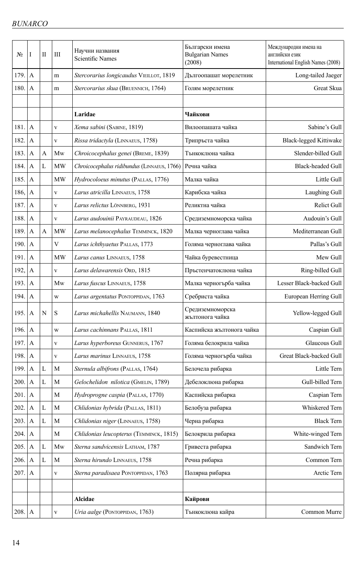| No     | Ι                | П | Ш            | Научни названия<br><b>Scientific Names</b>  | Български имена<br><b>Bulgarian Names</b><br>(2008) | Международни имена на<br>английски език<br>International English Names (2008) |
|--------|------------------|---|--------------|---------------------------------------------|-----------------------------------------------------|-------------------------------------------------------------------------------|
| 179.   | A                |   | m            | Stercorarius longicaudus VIEILLOT, 1819     | Дългоопашат морелетник                              | Long-tailed Jaeger                                                            |
| 180.   | A                |   | m            | Stercorarius skua (BRUENNICH, 1764)         | Голям морелетник                                    | Great Skua                                                                    |
|        |                  |   |              |                                             |                                                     |                                                                               |
|        |                  |   |              | Laridae                                     | Чайкови                                             |                                                                               |
| 181.   | A                |   | V            | Xema sabini (SABINE, 1819)                  | Вилоопашата чайка                                   | Sabine's Gull                                                                 |
| 182.   | A                |   | $\mathbf{V}$ | Rissa tridactyla (LINNAEUS, 1758)           | Трипръста чайка                                     | <b>Black-legged Kittiwake</b>                                                 |
| 183.   | A                | A | Mw           | Chroicocephalus genei (BREME, 1839)         | Тънкоклюна чайка                                    | Slender-billed Gull                                                           |
| 184.   | A                | L | <b>MW</b>    | Chroicocephalus ridibundus (LINNAEUS, 1766) | Речна чайка                                         | <b>Black-headed Gull</b>                                                      |
| 185.   | A                |   | <b>MW</b>    | Hydrocoloeus minutus (PALLAS, 1776)         | Малка чайка                                         | Little Gull                                                                   |
| 186,   | A                |   | $\mathbf{V}$ | Larus atricilla LINNAEUS, 1758              | Карибска чайка                                      | Laughing Gull                                                                 |
| 187.   | A                |   | V            | Larus relictus LÖNNBERG, 1931               | Реликтна чайка                                      | Relict Gull                                                                   |
| 188.   | A                |   | $\mathbf V$  | Larus audouinii PAYRAUDEAU, 1826            | Средиземноморска чайка                              | Audouin's Gull                                                                |
| 189.   | A                | A | <b>MW</b>    | Larus melanocephalus TEMMINCK, 1820         | Малка черноглава чайка                              | Mediterranean Gull                                                            |
| 190.   | A                |   | V            | Larus ichthyaetus PALLAS, 1773              | Голяма черноглава чайка                             | Pallas's Gull                                                                 |
| 191.   | A                |   | <b>MW</b>    | Larus canus LINNAEUS, 1758                  | Чайка буревестница                                  | Mew Gull                                                                      |
| 192,   | A                |   | $\mathbf V$  | Larus delawarensis ORD, 1815                | Пръстенчатоклюна чайка                              | Ring-billed Gull                                                              |
| 193.   | A                |   | Mw           | Larus fuscus LINNAEUS, 1758                 | Малка черногърба чайка                              | Lesser Black-backed Gull                                                      |
| 194.   | A                |   | W            | Larus argentatus PONTOPPIDAN, 1763          | Сребриста чайка                                     | European Herring Gull                                                         |
| 195.   | A                | N | S            | Larus michahellis NAUMANN, 1840             | Средиземноморска<br>жълтонога чайка                 | Yellow-legged Gull                                                            |
| 196.   | $\mathbf{A}$     |   | W            | Larus cachinnans PALLAS, 1811               | Каспийска жълтонога чайка                           | Caspian Gull                                                                  |
| 197.   | A                |   | $\mathbf{V}$ | Larus hyperboreus GUNNERUS, 1767            | Голяма белокрила чайка                              | Glaucous Gull                                                                 |
| 198. A |                  |   | V            | Larus marinus LINNAEUS, 1758                | Голяма черногърба чайка                             | Great Black-backed Gull                                                       |
| 199.   | A                | L | M            | Sternula albifrons (PALLAS, 1764)           | Белочела рибарка                                    | Little Tern                                                                   |
| 200.   | A                | L | M            | Gelochelidon nilotica (GMELIN, 1789)        | Дебелоклюна рибарка                                 | Gull-billed Tern                                                              |
| 201.   | A                |   | M            | Hydroprogne caspia (PALLAS, 1770)           | Каспийска рибарка                                   | Caspian Tern                                                                  |
| 202.   | A                | L | M            | Chlidonias hybrida (PALLAS, 1811)           | Белобуза рибарка                                    | Whiskered Tern                                                                |
| 203.   | A                | L | M            | Chlidonias niger (LINNAEUS, 1758)           | Черна рибарка                                       | <b>Black Tern</b>                                                             |
| 204.   | $\boldsymbol{A}$ |   | M            | Chlidonias leucopterus (TEMMINCK, 1815)     | Белокрила рибарка                                   | White-winged Tern                                                             |
| 205.   | A                | L | Mw           | Sterna sandvicensis LATHAM, 1787            | Гривеста рибарка                                    | Sandwich Tern                                                                 |
| 206.   | A                | L | M            | Sterna hirundo LINNAEUS, 1758               | Речна рибарка                                       | Common Tern                                                                   |
| 207.   | A                |   | $\mathbf{V}$ | Sterna paradisaea PONTOPPIDAN, 1763         | Полярна рибарка                                     | Arctic Tern                                                                   |
|        |                  |   |              |                                             |                                                     |                                                                               |
|        |                  |   |              | Alcidae                                     | Кайрови                                             |                                                                               |
| 208. A |                  |   | $\mathbf V$  | Uria aalge (PONTOPPIDAN, 1763)              | Тънкоклюна кайра                                    | Common Murre                                                                  |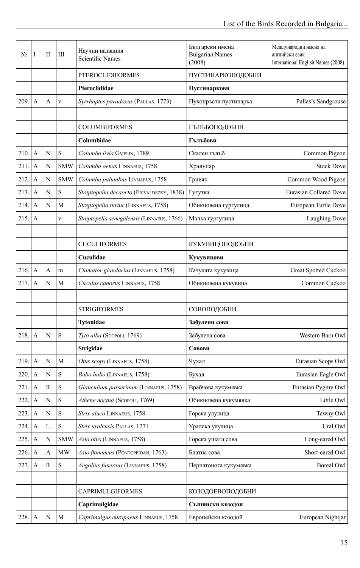| N <sub>2</sub> | I              | П            | Ш                       | Научни названия<br><b>Scientific Names</b> | Български имена<br><b>Bulgarian Names</b><br>(2008) | Международни имена на<br>английски език<br>International English Names (2008) |
|----------------|----------------|--------------|-------------------------|--------------------------------------------|-----------------------------------------------------|-------------------------------------------------------------------------------|
|                |                |              |                         | <b>PTEROCLIDIFORMES</b>                    | ПУСТИНАРКОПОДОБНИ                                   |                                                                               |
|                |                |              |                         | Pteroclididae                              | Пустинаркови                                        |                                                                               |
| 209.           | $\mathbf{A}$   | A            | $\overline{\mathbf{V}}$ | Syrrhaptes paradoxus (PALLAS, 1773)        | Пухопръста пустинарка                               | Pallas's Sandgrouse                                                           |
|                |                |              |                         |                                            |                                                     |                                                                               |
|                |                |              |                         | <b>COLUMBIFORMES</b>                       | ГЪЛЪБОПОДОБНИ                                       |                                                                               |
|                |                |              |                         | Columbidae                                 | Гълъбови                                            |                                                                               |
| 210.           | $\overline{A}$ | N            | S                       | Columba livia GMELIN, 1789                 | Скален гълъб                                        | Common Pigeon                                                                 |
| 211.           | A              | N            | <b>SMW</b>              | Columba oenas LINNAEUS, 1758               | Хралупар                                            | <b>Stock Dove</b>                                                             |
| 212.           | A              | N            | <b>SMW</b>              | Columba palumbus LINNAEUS, 1758            | Гривяк                                              | Common Wood Pigeon                                                            |
| 213.           | A              | N            | S                       | Streptopelia decaocto (FRIVALDSZKY, 1838)  | Гугутка                                             | <b>Eurasian Collared Dove</b>                                                 |
| 214.           | A              | N            | М                       | Streptopelia turtur (LINNAEUS, 1758)       | Обикновена гургулица                                | European Turtle Dove                                                          |
| 215.           | A              |              | V                       | Streptopelia senegalensis (LINNAEUS, 1766) | Малка гургулица                                     | Laughing Dove                                                                 |
|                |                |              |                         |                                            |                                                     |                                                                               |
|                |                |              |                         | <b>CUCULIFORMES</b>                        | КУКУВИЦОПОДОБНИ                                     |                                                                               |
|                |                |              |                         | Cuculidae                                  | Кукувицови                                          |                                                                               |
| 216.           | $\mathbf{A}$   | A            | m                       | Clamator glandarius (LINNAEUS, 1758)       | Качулата кукувица                                   | Great Spotted Cuckoo                                                          |
| 217.           | A              | N            | М                       | Cuculus canorus LINNAEUS, 1758             | Обикновена кукувица                                 | Common Cuckoo                                                                 |
|                |                |              |                         |                                            |                                                     |                                                                               |
|                |                |              |                         | <b>STRIGIFORMES</b>                        | СОВОПОДОБНИ                                         |                                                                               |
|                |                |              |                         | Tytonidae                                  | Забулени сови                                       |                                                                               |
| 218.           | $\overline{A}$ | N            | S                       | Tyto alba (SCOPOLI, 1769)                  | Забулена сова                                       | Western Barn Owl                                                              |
|                |                |              |                         | Strigidae                                  | Совови                                              |                                                                               |
| 219.           | $\mathbf{A}$   | N            | $\mathbf M$             | Otus scops (LINNAEUS, 1758)                | Чухал                                               | Eurasian Scops Owl                                                            |
| 220.           | A              | N            | S                       | Bubo bubo (LINNAEUS, 1758)                 | Бухал                                               | Eurasian Eagle Owl                                                            |
| 221.           | $\mathbf{A}$   | $\mathbb{R}$ | S                       | Glaucidium passerinum (LINNAEUS, 1758)     | Врабчова кукумявка                                  | Eurasian Pygmy Owl                                                            |
| 222.           | A              | N            | S                       | Athene noctua (SCOPOLI, 1769)              | Обикновена кукумявка                                | Little Owl                                                                    |
| 223.           | $\mathbf{A}$   | N            | ${\bf S}$               | Strix aluco LINNAEUS, 1758                 | Горска улулица                                      | Tawny Owl                                                                     |
| 224.           | A              | L            | S                       | Strix uralensis PALLAS, 1771               | Уралска улулица                                     | Ural Owl                                                                      |
| 225.           | A              | N            | <b>SMW</b>              | Asio otus (LINNAEUS, 1758)                 | Горска ушата сова                                   | Long-eared Owl                                                                |
| 226.           | A              | A            | MW                      | Asio flammeus (PONTOPPIDAN, 1763)          | Блатна сова                                         | Short-eared Owl                                                               |
| 227.           | A              | $\mathbb{R}$ | S                       | Aegolius funereus (LINNAEUS, 1758)         | Пернатонога кукумявка                               | Boreal Owl                                                                    |
|                |                |              |                         |                                            |                                                     |                                                                               |
|                |                |              |                         | <b>CAPRIMULGIFORMES</b>                    | КОЗОДОЕВОПОДОБНИ                                    |                                                                               |
|                |                |              |                         | Caprimulgidae                              | Същински козодои                                    |                                                                               |
| 228.           | $\mathbf{A}$   | $\mathbf N$  | M                       | Caprimulgus europaeus LINNAEUS, 1758       | Европейски козодой                                  | European Nightjar                                                             |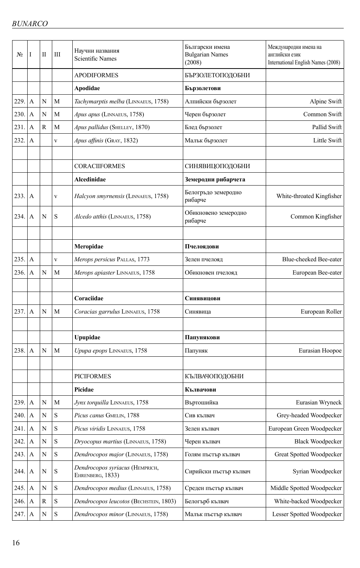| No   | I            | Н            | Ш           | Научни названия<br><b>Scientific Names</b>          | Български имена<br><b>Bulgarian Names</b><br>(2008) | Международни имена на<br>английски език<br>International English Names (2008) |
|------|--------------|--------------|-------------|-----------------------------------------------------|-----------------------------------------------------|-------------------------------------------------------------------------------|
|      |              |              |             | <b>APODIFORMES</b>                                  | <b>БЪРЗОЛЕТОПОДОБНИ</b>                             |                                                                               |
|      |              |              |             | Apodidae                                            | Бързолетови                                         |                                                                               |
| 229. | A            | N            | M           | Tachymarptis melba (LINNAEUS, 1758)                 | Алпийски бързолет                                   | Alpine Swift                                                                  |
| 230. | A            | N            | М           | Apus apus (LINNAEUS, 1758)                          | Черен бързолет                                      | Common Swift                                                                  |
| 231. | A            | $\mathbb{R}$ | М           | Apus pallidus (SHELLEY, 1870)                       | Блед бързолет                                       | Pallid Swift                                                                  |
| 232. | A            |              | V           | Apus affinis (GRAY, 1832)                           | Малък бързолет                                      | Little Swift                                                                  |
|      |              |              |             |                                                     |                                                     |                                                                               |
|      |              |              |             | <b>CORACIIFORMES</b>                                | СИНЯВИЦОПОДОБНИ                                     |                                                                               |
|      |              |              |             | Alcedinidae                                         | Земеродни рибарчета                                 |                                                                               |
| 233. | A            |              | $\mathbf V$ | Halcyon smyrnensis (LINNAEUS, 1758)                 | Белогръдо земеродно<br>рибарче                      | White-throated Kingfisher                                                     |
| 234. | A            | N            | S           | Alcedo atthis (LINNAEUS, 1758)                      | Обикновено земеродно<br>рибарче                     | Common Kingfisher                                                             |
|      |              |              |             |                                                     |                                                     |                                                                               |
|      |              |              |             | Meropidae                                           | Пчелоядови                                          |                                                                               |
| 235. | A            |              | $\mathbf V$ | Merops persicus PALLAS, 1773                        | Зелен пчелояд                                       | Blue-cheeked Bee-eater                                                        |
| 236. | A            | N            | М           | Merops apiaster LINNAEUS, 1758                      | Обикновен пчелояд                                   | European Bee-eater                                                            |
|      |              |              |             |                                                     |                                                     |                                                                               |
|      |              |              |             | Coraciidae                                          | Синявицови                                          |                                                                               |
| 237. | $\mathbf{A}$ | N            | М           | Coracias garrulus LINNAEUS, 1758                    | Синявица                                            | European Roller                                                               |
|      |              |              |             |                                                     |                                                     |                                                                               |
|      |              |              |             | Upupidae                                            | Папунякови                                          |                                                                               |
| 238. | $\mathbf{A}$ | N            | М           | Upupa epops LINNAEUS, 1758                          | Папуняк                                             | Eurasian Hoopoe                                                               |
|      |              |              |             |                                                     |                                                     |                                                                               |
|      |              |              |             | <b>PICIFORMES</b>                                   | КЪЛВАЧОПОДОБНИ                                      |                                                                               |
|      |              |              |             | Picidae                                             | Кълвачови                                           |                                                                               |
| 239. | $\mathbf{A}$ | N            | M           | Jynx torquilla LINNAEUS, 1758                       | Въртошийка                                          | Eurasian Wryneck                                                              |
| 240. | A            | N            | $\mathbf S$ | Picus canus GMELIN, 1788                            | Сив кълвач                                          | Grey-headed Woodpecker                                                        |
| 241. | A            | $\mathbf N$  | S           | Picus viridis LINNAEUS, 1758                        | Зелен кълвач                                        | European Green Woodpecker                                                     |
| 242. | A            | N            | $\rm S$     | Dryocopus martius (LINNAEUS, 1758)                  | Черен кълвач                                        | <b>Black Woodpecker</b>                                                       |
| 243. | A            | N            | S           | Dendrocopos major (LINNAEUS, 1758)                  | Голям пъстър кълвач                                 | Great Spotted Woodpecker                                                      |
| 244. | A            | N            | S           | Dendrocopos syriacus (HEMPRICH,<br>EHRENBERG, 1833) | Сирийски пъстър кълвач                              | Syrian Woodpecker                                                             |
| 245. | A            | N            | S           | Dendrocopos medius (LINNAEUS, 1758)                 | Среден пъстър кълвач                                | Middle Spotted Woodpecker                                                     |
| 246. | $\mathbf{A}$ | R            | $\rm S$     | Dendrocopos leucotos (BECHSTEIN, 1803)              | Белогърб кълвач                                     | White-backed Woodpecker                                                       |
| 247. | $\mathbf{A}$ | $\mathbf N$  | S           | Dendrocopos minor (LINNAEUS, 1758)                  | Малък пъстър кълвач                                 | Lesser Spotted Woodpecker                                                     |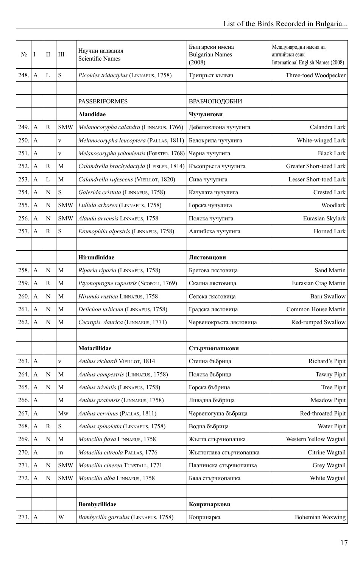| N <sub>2</sub> | Ι                | П            | Ш           | Научни названия<br><b>Scientific Names</b> | Български имена<br><b>Bulgarian Names</b><br>(2008) | Международни имена на<br>английски език<br>International English Names (2008) |
|----------------|------------------|--------------|-------------|--------------------------------------------|-----------------------------------------------------|-------------------------------------------------------------------------------|
| 248.           | A                | L            | S           | Picoides tridactylus (LINNAEUS, 1758)      | Трипръст кълвач                                     | Three-toed Woodpecker                                                         |
|                |                  |              |             |                                            |                                                     |                                                                               |
|                |                  |              |             | <b>PASSERIFORMES</b>                       | ВРАБЧОПОДОБНИ                                       |                                                                               |
|                |                  |              |             | Alaudidae                                  | Чучулигови                                          |                                                                               |
| 249.           | A                | $\mathbb{R}$ | <b>SMW</b>  | Melanocorypha calandra (LINNAEUS, 1766)    | Дебелоклюна чучулига                                | Calandra Lark                                                                 |
| 250.           | A                |              | V           | Melanocorypha leucoptera (PALLAS, 1811)    | Белокрила чучулига                                  | White-winged Lark                                                             |
| 251.           | A                |              | $\mathbf V$ | Melanocorypha yeltoniensis (FORSTER, 1768) | Черна чучулига                                      | <b>Black Lark</b>                                                             |
| 252.           | A                | $\mathbf R$  | М           | Calandrella brachydactyla (LEISLER, 1814)  | Късопръста чучулига                                 | Greater Short-toed Lark                                                       |
| 253.           | A                | L            | M           | Calandrella rufescens (VIEILLOT, 1820)     | Сива чучулига                                       | Lesser Short-toed Lark                                                        |
| 254.           | A                | N            | ${\bf S}$   | Galerida cristata (LINNAEUS, 1758)         | Качулата чучулига                                   | Crested Lark                                                                  |
| 255.           | A                | N            | <b>SMW</b>  | Lullula arborea (LINNAEUS, 1758)           | Горска чучулига                                     | Woodlark                                                                      |
| 256.           | A                | N            | <b>SMW</b>  | Alauda arvensis LINNAEUS, 1758             | Полска чучулига                                     | Eurasian Skylark                                                              |
| 257.           | A                | $\mathbf R$  | S           | Eremophila alpestris (LINNAEUS, 1758)      | Алпийска чучулига                                   | Horned Lark                                                                   |
|                |                  |              |             |                                            |                                                     |                                                                               |
|                |                  |              |             | Hirundinidae                               | Лястовицови                                         |                                                                               |
| 258.           | A                | N            | M           | Riparia riparia (LINNAEUS, 1758)           | Брегова лястовица                                   | Sand Martin                                                                   |
| 259.           | A                | $\mathbb{R}$ | $\mathbf M$ | Ptyonoprogne rupestris (ScopoLI, 1769)     | Скална лястовица                                    | Eurasian Crag Martin                                                          |
| 260.           | A                | N            | M           | Hirundo rustica LINNAEUS, 1758             | Селска лястовица                                    | <b>Barn Swallow</b>                                                           |
| 261.           | A                | N            | М           | Delichon urbicum (LINNAEUS, 1758)          | Градска лястовица                                   | Common House Martin                                                           |
| 262.           | A                | N            | M           | Cecropis daurica (LINNAEUS, 1771)          | Червенокръста лястовица                             | Red-rumped Swallow                                                            |
|                |                  |              |             |                                            |                                                     |                                                                               |
|                |                  |              |             | Motacillidae                               | Стърчиопашкови                                      |                                                                               |
| 263.           | $\Lambda$        |              | $\mathbf V$ | Anthus richardi VIEILLOT, 1814             | Степна бъбрица                                      | Richard's Pipit                                                               |
| 264.           | A                | N            | M           | Anthus campestris (LINNAEUS, 1758)         | Полска бъбрица                                      | Tawny Pipit                                                                   |
| 265.           | A                | N            | M           | Anthus trivialis (LINNAEUS, 1758)          | Горска бъбрица                                      | Tree Pipit                                                                    |
| 266.           | $\boldsymbol{A}$ |              | М           | Anthus pratensis (LINNAEUS, 1758)          | Ливадна бъбрица                                     | Meadow Pipit                                                                  |
| 267.           | A                |              | Mw          | Anthus cervinus (PALLAS, 1811)             | Червеногуша бъбрица                                 | Red-throated Pipit                                                            |
| 268.           | A                | $\mathbb{R}$ | S           | Anthus spinoletta (LINNAEUS, 1758)         | Водна бъбрица                                       | Water Pipit                                                                   |
| 269.           | A                | N            | М           | Motacilla flava LINNAEUS, 1758             | Жълта стърчиопашка                                  | Western Yellow Wagtail                                                        |
| 270.           | $\boldsymbol{A}$ |              | m           | Motacilla citreola PALLAS, 1776            | Жълтоглава стърчиопашка                             | Citrine Wagtail                                                               |
| 271.           | A                | N            | <b>SMW</b>  | Motacilla cinerea TUNSTALL, 1771           | Планинска стърчиопашка                              | Grey Wagtail                                                                  |
| 272.           | A                | N            | <b>SMW</b>  | Motacilla alba LINNAEUS, 1758              | Бяла стърчиопашка                                   | White Wagtail                                                                 |
|                |                  |              |             |                                            |                                                     |                                                                               |
|                |                  |              |             | Bombycillidae                              | Копринаркови                                        |                                                                               |
| 273.           | $\mathbf{A}$     |              | W           | Bombycilla garrulus (LINNAEUS, 1758)       | Копринарка                                          | Bohemian Waxwing                                                              |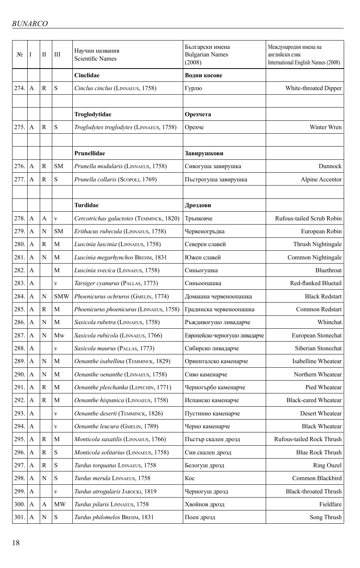| N <sub>2</sub> | I                         | П            | Ш           | Научни названия<br><b>Scientific Names</b> | Български имена<br><b>Bulgarian Names</b><br>(2008) | Международни имена на<br>английски език<br>International English Names (2008) |
|----------------|---------------------------|--------------|-------------|--------------------------------------------|-----------------------------------------------------|-------------------------------------------------------------------------------|
|                |                           |              |             | Cinclidae                                  | Водни косове                                        |                                                                               |
| 274.           | $\overline{A}$            | $\mathbb{R}$ | S           | Cinclus cinclus (LINNAEUS, 1758)           | Гурлю                                               | White-throated Dipper                                                         |
|                |                           |              |             |                                            |                                                     |                                                                               |
|                |                           |              |             | Troglodytidae                              | Орехчета                                            |                                                                               |
| 275.           | A                         | $\mathbb{R}$ | S           | Troglodytes troglodytes (LINNAEUS, 1758)   | Орехче                                              | Winter Wren                                                                   |
|                |                           |              |             |                                            |                                                     |                                                                               |
|                |                           |              |             | Prunellidae                                | Завирушкови                                         |                                                                               |
| 276.           | A                         | $\mathbb{R}$ | <b>SM</b>   | Prunella modularis (LINNAEUS, 1758)        | Сивогуша завирушка                                  | Dunnock                                                                       |
| 277.           | A                         | $\mathbb{R}$ | S           | Prunella collaris (SCOPOLI, 1769)          | Пъстрогуша завирушка                                | Alpine Accentor                                                               |
|                |                           |              |             |                                            |                                                     |                                                                               |
|                |                           |              |             | Turdidae                                   | Дроздови                                            |                                                                               |
| 278.           | A                         | A            | V           | Cercotrichas galactotes (TEMMINCK, 1820)   | Трънковче                                           | Rufous-tailed Scrub Robin                                                     |
| 279.           | A                         | N            | <b>SM</b>   | Erithacus rubecula (LINNAEUS, 1758)        | Червеногръдка                                       | European Robin                                                                |
| 280.           | A                         | R            | M           | Luscinia luscinia (LINNAEUS, 1758)         | Северен славей                                      | Thrush Nightingale                                                            |
| 281.           | A                         | N            | M           | Luscinia megarhynchos BREHM, 1831          | Южен славей                                         | Common Nightingale                                                            |
| 282.           | $\mathbf{A}$              |              | М           | Luscinia svecica (LINNAEUS, 1758)          | Синьогушка                                          | Bluethroat                                                                    |
| 283.           | A                         |              | V           | Tarsiger cyanurus (PALLAS, 1773)           | Синьоопашка                                         | Red-flanked Bluetail                                                          |
| 284.           | $\mathbf{A}$              | N            | <b>SMW</b>  | Phoenicurus ochruros (GMELIN, 1774)        | Домашна червеноопашка                               | <b>Black Redstart</b>                                                         |
| 285.           | A                         | $\mathbb{R}$ | M           | Phoenicurus phoenicurus (LINNAEUS, 1758)   | Градинска червеноопашка                             | Common Redstart                                                               |
| 286.           | A                         | N            | М           | Saxicola rubetra (LINNAEUS, 1758)          | Ръждивогушо ливадарче                               | Whinchat                                                                      |
| 287.           | A                         | N            | Mw          | Saxicola rubicola (LINNAEUS, 1766)         | Европейско черногушо ливадарче                      | European Stonechat                                                            |
| 288.           | A                         |              | V           | Saxicola maurus (PALLAS, 1773)             | Сибирско ливадарче                                  | Siberian Stonechat                                                            |
| 289.           | $\mathbf{A}$              | $\mathbf N$  | M           | Oenanthe isabellina (TEMMINCK, 1829)       | Ориенталско каменарче                               | Isabelline Wheatear                                                           |
| 290.           | A                         | N            | M           | Oenanthe oenanthe (LINNAEUS, 1758)         | Сиво каменарче                                      | Northern Wheatear                                                             |
| 291.           | A                         | ${\bf R}$    | M           | Oenanthe pleschanka (LEPECHIN, 1771)       | Черногърбо каменарче                                | Pied Wheatear                                                                 |
| 292.           | A                         | R            | M           | Oenanthe hispanica (LINNAEUS, 1758)        | Испанско каменарче                                  | <b>Black-eared Wheatear</b>                                                   |
| 293.           | A                         |              | V           | Oenanthe deserti (TEMMINCK, 1826)          | Пустинно каменарче                                  | Desert Wheatear                                                               |
| 294.           | A                         |              | V           | Oenanthe leucura (GMELIN, 1789)            | Черно каменарче                                     | <b>Black Wheatear</b>                                                         |
| 295.           | $\boldsymbol{A}$          | ${\bf R}$    | M           | Monticola saxatilis (LINNAEUS, 1766)       | Пъстър скален дрозд                                 | Rufous-tailed Rock Thrush                                                     |
| 296.           | $\boldsymbol{\mathsf{A}}$ | ${\bf R}$    | $\mathbf S$ | Monticola solitarius (LINNAEUS, 1758)      | Син скален дрозд                                    | <b>Blue Rock Thrush</b>                                                       |
| 297.           | $\boldsymbol{\mathsf{A}}$ | $\mathbb{R}$ | $\mathbf S$ | Turdus torquatus LINNAEUS, 1758            | Белогуш дрозд                                       | Ring Ouzel                                                                    |
| 298.           | $\boldsymbol{\mathsf{A}}$ | $\mathbf N$  | $\mathbf S$ | Turdus merula LINNAEUS, 1758               | Koc                                                 | Common Blackbird                                                              |
| 299.           | A                         |              | V           | Turdus atrogularis JAROCKI, 1819           | Черногуш дрозд                                      | <b>Black-throated Thrush</b>                                                  |
| 300.           | A                         | A            | MW          | Turdus pilaris LINNAEUS, 1758              | Хвойнов дрозд                                       | Fieldfare                                                                     |
| 301.           | $\mathbf{A}$              | N            | $\mathbf S$ | Turdus philomelos BREHM, 1831              | Поен дрозд                                          | Song Thrush                                                                   |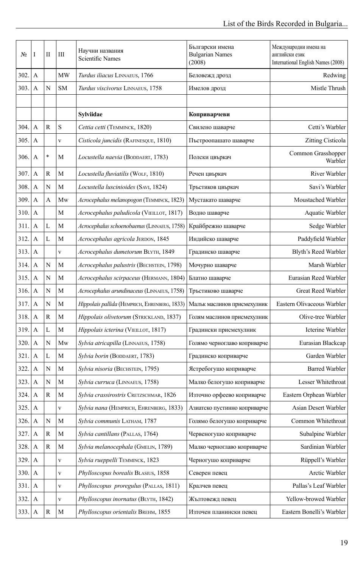| No      | I                | $\mathbf{I}$ | Ш           | Научни названия<br><b>Scientific Names</b>    | Български имена<br><b>Bulgarian Names</b><br>(2008) | Международни имена на<br>английски език<br>International English Names (2008) |
|---------|------------------|--------------|-------------|-----------------------------------------------|-----------------------------------------------------|-------------------------------------------------------------------------------|
| 302.    | A                |              | MW          | Turdus iliacus LINNAEUS, 1766                 | Беловежд дрозд                                      | Redwing                                                                       |
| 303.    | A                | $\mathbf N$  | <b>SM</b>   | Turdus viscivorus LINNAEUS, 1758              | Имелов дрозд                                        | Mistle Thrush                                                                 |
|         |                  |              |             |                                               |                                                     |                                                                               |
|         |                  |              |             | Sylviidae                                     | Коприварчеви                                        |                                                                               |
| 304.    | $\mathbf{A}$     | $\mathbb{R}$ | S           | Cettia cetti (TEMMINCK, 1820)                 | Свилено шаварче                                     | Cetti's Warbler                                                               |
| 305.    | A                |              | $\mathbf V$ | Cisticola juncidis (RAFINESQUE, 1810)         | Пъстроопашато шаварче                               | Zitting Cisticola                                                             |
| 306.    | A                | $\ast$       | M           | Locustella naevia (BODDAERT, 1783)            | Полски цвъркач                                      | Common Grasshopper<br>Warbler                                                 |
| 307.    | A                | $\mathbb{R}$ | M           | Locustella fluviatilis (WOLF, 1810)           | Речен цвъркач                                       | River Warbler                                                                 |
| 308.    | $\mathbf{A}$     | $\mathbf N$  | $\mathbf M$ | Locustella luscinioides (SAVI, 1824)          | Тръстиков цвъркач                                   | Savi's Warbler                                                                |
| 309.    | A                | $\mathbf{A}$ | Mw          | Acrocephalus melanopogon (TEMMINCK, 1823)     | Мустакато шаварче                                   | Moustached Warbler                                                            |
| 310.    | $\mathbf{A}$     |              | M           | Acrocephalus paludicola (VIEILLOT, 1817)      | Водно шаварче                                       | Aquatic Warbler                                                               |
| 311.    | A                | $\mathbf{L}$ | M           | Acrocephalus schoenobaenus (LINNAEUS, 1758)   | Крайбрежно шаварче                                  | Sedge Warbler                                                                 |
| 312.    | A                | L            | М           | Acrocephalus agricola JERDON, 1845            | Индийско шаварче                                    | Paddyfield Warbler                                                            |
| 313.    | A                |              | V           | Acrocephalus dumetorum BLYTH, 1849            | Градинско шаварче                                   | Blyth's Reed Warbler                                                          |
| 314.    | A                | N            | M           | Acrocephalus palustris (BECHSTEIN, 1798)      | Мочурно шаварче                                     | Marsh Warbler                                                                 |
| 315.    | A                | N            | M           | Acrocephalus scirpaceus (HERMANN, 1804)       | Блатно шаварче                                      | Eurasian Reed Warbler                                                         |
| 316.    | A                | N            | M           | Acrocephalus arundinaceus (LINNAEUS, 1758)    | Тръстиково шаварче                                  | Great Reed Warbler                                                            |
| 317.    | $\mathbf{A}$     | N            | M           | Hippolais pallida (HEMPRICH, EHRENBERG, 1833) | Малък маслинов присмехулник                         | Eastern Olivaceous Warbler                                                    |
| 318.    | A                | $\mathbb{R}$ | $\mathbf M$ | Hippolais olivetorum (STRICKLAND, 1837)       | Голям маслинов присмехулник                         | Olive-tree Warbler                                                            |
| 319.    | A                | L            | M           | Hippolais icterina (VIEILLOT, 1817)           | Градински присмехулник                              | Icterine Warbler                                                              |
| 320.    | A                | N            | Mw          | Sylvia atricapilla (LINNAEUS, 1758)           | Голямо черноглаво коприварче                        | Eurasian Blackcap                                                             |
| 321.  A |                  | $\mathbf L$  | $\mathbf M$ | Sylvia borin (BODDAERT, 1783)                 | Градинско коприварче                                | Garden Warbler                                                                |
| 322.    | $\mathbf{A}$     | N            | M           | Sylvia nisoria (BECHSTEIN, 1795)              | Ястребогушо коприварче                              | <b>Barred Warbler</b>                                                         |
| 323.    | $\mathbf{A}$     | N            | M           | Sylvia curruca (LINNAEUS, 1758)               | Малко белогушо коприварче                           | Lesser Whitethroat                                                            |
| 324.    | $\mathbf{A}$     | R            | $\mathbf M$ | Sylvia crassirostris CRETZSCHMAR, 1826        | Източно орфеево коприварче                          | Eastern Orphean Warbler                                                       |
| 325.    | A                |              | V           | Sylvia nana (HEMPRICH, EHRENBERG, 1833)       | Азиатско пустинно коприварче                        | Asian Desert Warbler                                                          |
| 326.    | $\mathbf{A}$     | N            | M           | Sylvia communis LATHAM, 1787                  | Голямо белогушо коприварче                          | Common Whitethroat                                                            |
| 327.    | A                | R            | M           | Sylvia cantillans (PALLAS, 1764)              | Червеногушо коприварче                              | Subalpine Warbler                                                             |
| 328.    | $\boldsymbol{A}$ | R            | M           | Sylvia melanocephala (GMELIN, 1789)           | Малко черноглаво коприварче                         | Sardinian Warbler                                                             |
| 329.    | A                |              | V           | Sylvia rueppelli TEMMINCK, 1823               | Черногушо коприварче                                | Rüppell's Warbler                                                             |
| 330.    | A                |              | V           | Phylloscopus borealis BLASIUS, 1858           | Северен певец                                       | Arctic Warbler                                                                |
| 331.    | $\boldsymbol{A}$ |              | $\mathbf V$ | Phylloscopus proregulus (PALLAS, 1811)        | Кралчев певец                                       | Pallas's Leaf Warbler                                                         |
| 332.    | A                |              | $\mathbf V$ | Phylloscopus inornatus (BLYTH, 1842)          | Жълтовежд певец                                     | Yellow-browed Warbler                                                         |
| 333.    | $\Lambda$        | ${\bf R}$    | $\mathbf M$ | Phylloscopus orientalis BREHM, 1855           | Източен планински певец                             | Eastern Bonelli's Warbler                                                     |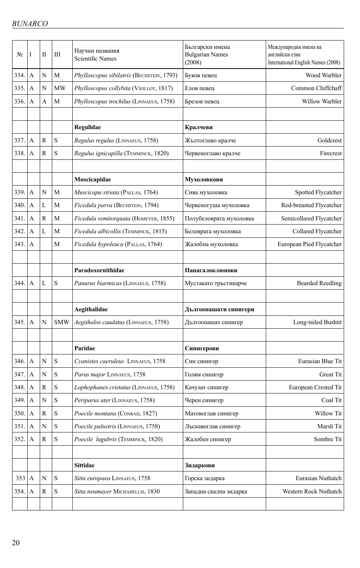| No      | I              | П            | Ш           | Научни названия<br><b>Scientific Names</b> | Български имена<br><b>Bulgarian Names</b><br>(2008) | Международни имена на<br>английски език<br>International English Names (2008) |
|---------|----------------|--------------|-------------|--------------------------------------------|-----------------------------------------------------|-------------------------------------------------------------------------------|
| 334.    | A              | N            | М           | Phylloscopus sibilatrix (BECHSTEIN, 1793)  | Буков певец                                         | Wood Warbler                                                                  |
| 335.    | A              | N            | MW          | Phylloscopus collybita (VIEILLOT, 1817)    | Елов певец                                          | Common Chiffchaff                                                             |
| 336.    | A              | A            | $\mathbf M$ | Phylloscopus trochilus (LINNAEUS, 1758)    | Брезов певец                                        | Willow Warbler                                                                |
|         |                |              |             |                                            |                                                     |                                                                               |
|         |                |              |             | Regulidae                                  | Кралчеви                                            |                                                                               |
| 337.    | A              | $\mathbb{R}$ | S           | Regulus regulus (LINNAEUS, 1758)           | Жълтоглаво кралче                                   | Goldcrest                                                                     |
| 338.    | A              | $\mathbb{R}$ | ${\bf S}$   | Regulus ignicapilla (TEMMINCK, 1820)       | Червеноглаво кралче                                 | Firecrest                                                                     |
|         |                |              |             |                                            |                                                     |                                                                               |
|         |                |              |             | Muscicapidae                               | Мухоловкови                                         |                                                                               |
| 339.    | A              | $\mathbf N$  | M           | Muscicapa striata (PALLAS, 1764)           | Сива мухоловка                                      | Spotted Flycatcher                                                            |
| 340.    | A              | L            | M           | Ficedula parva (BECHSTEIN, 1794)           | Червеногуша мухоловка                               | Red-breasted Flycatcher                                                       |
| 341.    | A              | $\mathbb{R}$ | M           | Ficedula semitorquata (HOMEYER, 1855)      | Полубеловрата мухоловка                             | Semicollared Flycatcher                                                       |
| 342.    | A              | L            | M           | Ficedula albicollis (TEMMINCK, 1815)       | Беловрата мухоловка                                 | Collared Flycatcher                                                           |
| 343.    | A              |              | M           | Ficedula hypoleuca (PALLAS, 1764)          | Жалобна мухоловка                                   | European Pied Flycatcher                                                      |
|         |                |              |             |                                            |                                                     |                                                                               |
|         |                |              |             | Paradoxornithidae                          | Папагалоклюнови                                     |                                                                               |
| 344.    | $\overline{A}$ | L            | ${\bf S}$   | Panurus biarmicus (LINNAEUS, 1758)         | Мустакато тръстикарче                               | <b>Bearded Reedling</b>                                                       |
|         |                |              |             |                                            |                                                     |                                                                               |
|         |                |              |             | Aegithalidae                               | Дългоопашати синигери                               |                                                                               |
| 345.    | A              | N            | <b>SMW</b>  | Aegithalos caudatus (LINNAEUS, 1758)       | Дългоопашат синигер                                 | Long-tailed Bushtit                                                           |
|         |                |              |             |                                            |                                                     |                                                                               |
|         |                |              |             | Paridae                                    | Синигерови                                          |                                                                               |
| 346.    | $\mathbf{A}$   | $\mathbf N$  | ${\bf S}$   | Cyanistes caeruleus LINNAEUS, 1758         | Син синигер                                         | Eurasian Blue Tit                                                             |
| 347.    | A              | N            | $\mathbf S$ | Parus major LINNAEUS, 1758                 | Голям синигер                                       | Great Tit                                                                     |
| 348.    | A              | R            | ${\bf S}$   | Lophophanes cristatus (LINNAEUS, 1758)     | Качулат синигер                                     | European Crested Tit                                                          |
| 349.    | $\mathbf{A}$   | ${\bf N}$    | $\mathbf S$ | Periparus ater (LINNAEUS, 1758)            | Черен синигер                                       | Coal Tit                                                                      |
| 350.    | $\mathbf{A}$   | ${\bf R}$    | S           | Poecile montana (CONRAD, 1827)             | Матовоглав синигер                                  | Willow Tit                                                                    |
| 351.    | A              | ${\bf N}$    | $\mathbf S$ | Poecile palustris (LINNAEUS, 1758)         | Лъскавоглав синигер                                 | Marsh Tit                                                                     |
| 352.    | A              | R            | ${\bf S}$   | Poecile lugubris (TEMMINCK, 1820)          | Жалобен синигер                                     | Sombre Tit                                                                    |
|         |                |              |             |                                            |                                                     |                                                                               |
|         |                |              |             | <b>Sittidae</b>                            | Зидаркови                                           |                                                                               |
| $353$ A |                | ${\bf N}$    | $\mathbf S$ | Sitta europaea LINNAEUS, 1758              | Горска зидарка                                      | Eurasian Nuthatch                                                             |
| 354.    | $\mathbf{A}$   | R            | S           | Sitta neumayer MICHAHELLIS, 1830           | Западна скална зидарка                              | Western Rock Nuthatch                                                         |
|         |                |              |             |                                            |                                                     |                                                                               |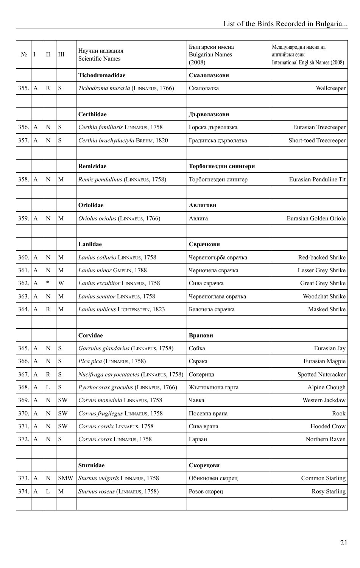| No   | I              | П            | Ш           | Научни названия<br><b>Scientific Names</b> | Български имена<br><b>Bulgarian Names</b><br>(2008) | Международни имена на<br>английски език<br>International English Names (2008) |
|------|----------------|--------------|-------------|--------------------------------------------|-----------------------------------------------------|-------------------------------------------------------------------------------|
|      |                |              |             | Tichodromadidae                            | Скалолазкови                                        |                                                                               |
| 355. | $\mathbf{A}$   | $\mathbb{R}$ | S           | Tichodroma muraria (LINNAEUS, 1766)        | Скалолазка                                          | Wallcreeper                                                                   |
|      |                |              |             |                                            |                                                     |                                                                               |
|      |                |              |             | Certhiidae                                 | Дърволазкови                                        |                                                                               |
| 356. | $\mathbf{A}$   | N            | S           | Certhia familiaris LINNAEUS, 1758          | Горска дърволазка                                   | Eurasian Treecreeper                                                          |
| 357. | A              | N            | S           | Certhia brachydactyla BREHM, 1820          | Градинска дърволазка                                | Short-toed Treecreeper                                                        |
|      |                |              |             |                                            |                                                     |                                                                               |
|      |                |              |             | Remizidae                                  | Торбогнездни синигери                               |                                                                               |
| 358. | A              | N            | M           | Remiz pendulinus (LINNAEUS, 1758)          | Торбогнезден синигер                                | Eurasian Penduline Tit                                                        |
|      |                |              |             |                                            |                                                     |                                                                               |
|      |                |              |             | Oriolidae                                  | Авлигови                                            |                                                                               |
| 359. | $\overline{A}$ | N            | M           | Oriolus oriolus (LINNAEUS, 1766)           | Авлига                                              | Eurasian Golden Oriole                                                        |
|      |                |              |             |                                            |                                                     |                                                                               |
|      |                |              |             | Laniidae                                   | Сврачкови                                           |                                                                               |
| 360. | A              | N            | М           | Lanius collurio LINNAEUS, 1758             | Червеногърба сврачка                                | Red-backed Shrike                                                             |
| 361. | $\mathbf{A}$   | N            | M           | Lanius minor GMELIN, 1788                  | Черночела сврачка                                   | Lesser Grey Shrike                                                            |
| 362. | A              | $\ast$       | W           | Lanius excubitor LINNAEUS, 1758            | Сива сврачка                                        | Great Grey Shrike                                                             |
| 363. | A              | N            | M           | Lanius senator LINNAEUS, 1758              | Червеноглава сврачка                                | Woodchat Shrike                                                               |
| 364. | A              | $\mathbf R$  | M           | Lanius nubicus LICHTENSTEIN, 1823          | Белочела сврачка                                    | Masked Shrike                                                                 |
|      |                |              |             |                                            |                                                     |                                                                               |
|      |                |              |             | Corvidae                                   | Вранови                                             |                                                                               |
| 365. | A              | N            | S           | Garrulus glandarius (LINNAEUS, 1758)       | Сойка                                               | Eurasian Jay                                                                  |
| 366. | $\mathbf{A}$   | N            | $\mathbf S$ | Pica pica (LINNAEUS, 1758)                 | Сврака                                              | Eurasian Magpie                                                               |
| 367. | A              | $\mathbb{R}$ | $\mathbf S$ | Nucifraga caryocatactes (LINNAEUS, 1758)   | Сокерица                                            | Spotted Nutcracker                                                            |
| 368. | $\mathbf{A}$   | L            | $\mathbf S$ | Pyrrhocorax graculus (LINNAEUS, 1766)      | Жълтоклюна гарга                                    | Alpine Chough                                                                 |
| 369. | $\mathbf{A}$   | N            | <b>SW</b>   | Corvus monedula LINNAEUS, 1758             | Чавка                                               | Western Jackdaw                                                               |
| 370. | $\mathbf{A}$   | N            | SW          | Corvus frugilegus LINNAEUS, 1758           | Посевна врана                                       | Rook                                                                          |
| 371. | A              | N            | SW          | Corvus cornix LINNAEUS, 1758               | Сива врана                                          | Hooded Crow                                                                   |
| 372. | $\mathbf{A}$   | N            | S           | Corvus corax LINNAEUS, 1758                | Гарван                                              | Northern Raven                                                                |
|      |                |              |             |                                            |                                                     |                                                                               |
|      |                |              |             | <b>Sturnidae</b>                           | Скорецови                                           |                                                                               |
| 373. | $\mathbf{A}$   | N            | <b>SMW</b>  | Sturnus vulgaris LINNAEUS, 1758            | Обикновен скорец                                    | Common Starling                                                               |
| 374. | A              | L            | M           | Sturnus roseus (LINNAEUS, 1758)            | Розов скорец                                        | <b>Rosy Starling</b>                                                          |
|      |                |              |             |                                            |                                                     |                                                                               |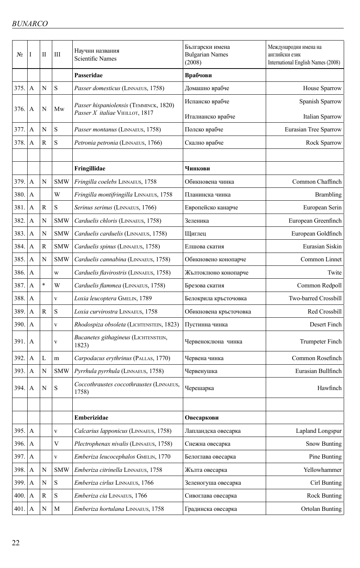| No   | I              | П            | Ш           | Научни названия<br><b>Scientific Names</b>                                | Български имена<br><b>Bulgarian Names</b><br>(2008) | Международни имена на<br>английски език<br>International English Names (2008) |
|------|----------------|--------------|-------------|---------------------------------------------------------------------------|-----------------------------------------------------|-------------------------------------------------------------------------------|
|      |                |              |             | Passeridae                                                                | Врабчови                                            |                                                                               |
| 375. | $\overline{A}$ | N            | S           | Passer domesticus (LINNAEUS, 1758)                                        | Домашно врабче                                      | House Sparrow                                                                 |
| 376. | A              | N            | Mw          | Passer hispaniolensis (TEMMINCK, 1820)<br>Passer X italiae VIEILLOT, 1817 | Испанско врабче<br>Италианско врабче                | Spanish Sparrow<br><b>Italian Sparrow</b>                                     |
| 377. | A              | N            | S           | Passer montanus (LINNAEUS, 1758)                                          | Полско врабче                                       | Eurasian Tree Sparrow                                                         |
| 378. | A              | R            | S           | Petronia petronia (LINNAEUS, 1766)                                        | Скално врабче                                       | Rock Sparrow                                                                  |
|      |                |              |             |                                                                           |                                                     |                                                                               |
|      |                |              |             | Fringillidae                                                              | Чинкови                                             |                                                                               |
| 379. | $\overline{A}$ | N            | <b>SMW</b>  | Fringilla coelebs LINNAEUS, 1758                                          | Обикновена чинка                                    | Common Chaffinch                                                              |
| 380. | $\overline{A}$ |              | W           | Fringilla montifringilla LINNAEUS, 1758                                   | Планинска чинка                                     | <b>Brambling</b>                                                              |
| 381. | A              | $\mathbb{R}$ | $\mathbf S$ | Serinus serinus (LINNAEUS, 1766)                                          | Европейско канарче                                  | European Serin                                                                |
| 382. | A              | N            | <b>SMW</b>  | Carduelis chloris (LINNAEUS, 1758)                                        | Зеленика                                            | European Greenfinch                                                           |
| 383. | A              | N            | <b>SMW</b>  | Carduelis carduelis (LINNAEUS, 1758)                                      | Шиглец                                              | European Goldfinch                                                            |
| 384. | A              | R            | <b>SMW</b>  | Carduelis spinus (LINNAEUS, 1758)                                         | Елшова скатия                                       | Eurasian Siskin                                                               |
| 385. | A              | N            | <b>SMW</b>  | Carduelis cannabina (LINNAEUS, 1758)                                      | Обикновено конопарче                                | Common Linnet                                                                 |
| 386. | A              |              | W           | Carduelis flavirostris (LINNAEUS, 1758)                                   | Жълтоклюно конопарче                                | Twite                                                                         |
| 387. | $\overline{A}$ | $\ast$       | W           | Carduelis flammea (LINNAEUS, 1758)                                        | Брезова скатия                                      | Common Redpoll                                                                |
| 388. | A              |              | $\mathbf V$ | Loxia leucoptera GMELIN, 1789                                             | Белокрила кръсточовка                               | Two-barred Crossbill                                                          |
| 389. | A              | R            | S           | Loxia curvirostra LINNAEUS, 1758                                          | Обикновена кръсточовка                              | Red Crossbill                                                                 |
| 390. | A              |              | $\mathbf V$ | Rhodospiza obsoleta (LICHTENSTEIN, 1823)                                  | Пустинна чинка                                      | Desert Finch                                                                  |
| 391. | A              |              | V           | Bucanetes githagineus (LICHTENSTEIN,<br>1823)                             | Червеноклюна чинка                                  | Trumpeter Finch                                                               |
| 392. | $\overline{A}$ | L            | m           | Carpodacus erythrinus (PALLAS, 1770)                                      | Червена чинка                                       | Common Rosefinch                                                              |
| 393. | A              | N            | <b>SMW</b>  | Pyrrhula pyrrhula (LINNAEUS, 1758)                                        | Червенушка                                          | Eurasian Bullfinch                                                            |
| 394. | A              | N            | $\mathbf S$ | Coccothraustes coccothraustes (LINNAEUS,<br>1758)                         | Черешарка                                           | Hawfinch                                                                      |
|      |                |              |             |                                                                           |                                                     |                                                                               |
|      |                |              |             | <b>Emberizidae</b>                                                        | Овесаркови                                          |                                                                               |
| 395. | $\mathbf{A}$   |              | V           | Calcarius lapponicus (LINNAEUS, 1758)                                     | Лапландска овесарка                                 | Lapland Longspur                                                              |
| 396. | A              |              | V           | Plectrophenax nivalis (LINNAEUS, 1758)                                    | Снежна овесарка                                     | Snow Bunting                                                                  |
| 397. | $\mathbf{A}$   |              | V           | Emberiza leucocephalos GMELIN, 1770                                       | Белоглава овесарка                                  | Pine Bunting                                                                  |
| 398. | A              | N            | <b>SMW</b>  | Emberiza citrinella LINNAEUS, 1758                                        | Жълта овесарка                                      | Yellowhammer                                                                  |
| 399. | $\mathbf{A}$   | N            | $\mathbf S$ | Emberiza cirlus LINNAEUS, 1766                                            | Зеленогуша овесарка                                 | Cirl Bunting                                                                  |
| 400. | A              | R            | S           | Emberiza cia LINNAEUS, 1766                                               | Сивоглава овесарка                                  | <b>Rock Bunting</b>                                                           |
| 401. | $\mathbf{A}$   | N            | М           | Emberiza hortulana LINNAEUS, 1758                                         | Градинска овесарка                                  | Ortolan Bunting                                                               |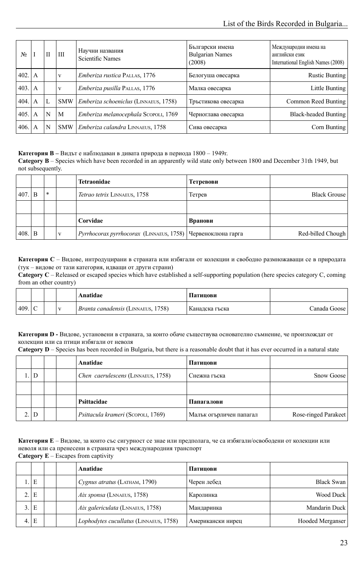| $N_2$            |     | H | Ш          | Научни названия<br><b>Scientific Names</b> | Български имена<br><b>Bulgarian Names</b><br>(2008) | Международни имена на<br>английски език<br>International English Names (2008) |
|------------------|-----|---|------------|--------------------------------------------|-----------------------------------------------------|-------------------------------------------------------------------------------|
| $402. \n\vert A$ |     |   | V          | Emberiza rustica PALLAS, 1776              | Белогуша овесарка                                   | Rustic Bunting                                                                |
| 403.  A          |     |   | V          | Emberiza pusilla PALLAS, 1776              | Малка овесарка                                      | Little Bunting                                                                |
| 404.             | l A |   | <b>SMW</b> | Emberiza schoeniclus (LINNAEUS, 1758)      | Тръстикова овесарка                                 | Common Reed Bunting                                                           |
| $405. \n\vert A$ |     | N | M          | Emberiza melanocephala SCOPOLI, 1769       | Черноглава овесарка                                 | Black-headed Bunting                                                          |
| 406.             | l A | N | <b>SMW</b> | Emberiza calandra LINNAEUS, 1758           | Сива овесарка                                       | Corn Bunting                                                                  |

**Категория В –** Видът <sup>е</sup> наблюдаван <sup>в</sup> дивата природа <sup>в</sup> периода 1800 – 1949<sup>г</sup>.

**Category B** – Species which have been recorded in an apparently wild state only between 1800 and December 31th 1949, but not subsequently.

|       |   |        |   | Tetraonidae                                                   | Тетревови |                   |
|-------|---|--------|---|---------------------------------------------------------------|-----------|-------------------|
| 1407. | B | $\ast$ |   | Tetrao tetrix LINNAEUS, 1758                                  | Тетрев    | Black Grouse      |
|       |   |        |   |                                                               |           |                   |
|       |   |        |   | Corvidae                                                      | Вранови   |                   |
| 408.  | B |        | v | Pyrrhocorax pyrrhocorax (LINNAEUS, 1758)   Червеноключа гарга |           | Red-billed Chough |

**Категория С** – Видове, интродуцирани <sup>в</sup> страната или избягали от колекции <sup>и</sup> свободно размножаващи се <sup>в</sup> природата (тук – видове от тази категория, идващи от други страни)

**Category C** – Released or escaped species which have established a self-supporting population (here species category C, coming from an other country)

|       |  |                | Anatidae                                  | Патицови       |              |
|-------|--|----------------|-------------------------------------------|----------------|--------------|
| 1409. |  | T <sub>1</sub> | <i>Branta canadensis</i> (LINNAEUS, 1758) | Канадска гъска | Canada Goose |

**Категория D -** Видове, установени <sup>в</sup> страната, за които обаче съществува основателно съмнение, че произхождат от колекции или са птици избягали от неволя

|  |  |  |  |  | Category D - Species has been recorded in Bulgaria, but there is a reasonable doubt that it has ever occurred in a natural state |
|--|--|--|--|--|----------------------------------------------------------------------------------------------------------------------------------|
|--|--|--|--|--|----------------------------------------------------------------------------------------------------------------------------------|

|   |  | Anatidae                                  | Патицови                |                      |
|---|--|-------------------------------------------|-------------------------|----------------------|
| D |  | <i>Chen caerulescens</i> (LINNAEUS, 1758) | Снежна гъска            | Snow Goose           |
|   |  |                                           |                         |                      |
|   |  | Psittacidae                               | Папагалови              |                      |
| D |  | Psittacula krameri (Scopoli, 1769)        | Малък огърличен папагал | Rose-ringed Parakeet |

**Категория Е** – Видове, за които със сигурност се знае или предполага, че са избягали/освободени от колекции или неволя или са пренесени <sup>в</sup> страната чрез международния транспорт **Category E** – Escapes from captivity

|    |   |  | Anatidae                               | Патицови          |                  |
|----|---|--|----------------------------------------|-------------------|------------------|
|    | Е |  | Cygnus atratus (LATHAM, 1790)          | Черен лебед       | Black Swan       |
|    | E |  | <i>Aix sponsa</i> (LNNAEUS, 1758)      | Каролинка         | Wood Duck        |
|    | E |  | Aix galericulata (LNNAEUS, 1758)       | . Мандаринка      | Mandarin Duck    |
| 4. | E |  | Lophodytes cucullatus (LINNAEUS, 1758) | Американски нирец | Hooded Merganser |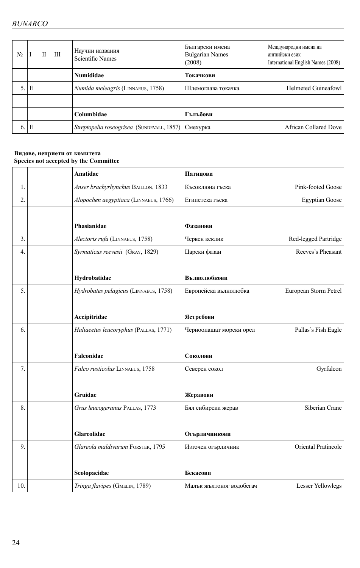| N₫ |   | Н | Ш | Научни названия<br><b>Scientific Names</b>            | Български имена<br><b>Bulgarian Names</b><br>(2008) | Международни имена на<br>английски език<br>International English Names (2008) |
|----|---|---|---|-------------------------------------------------------|-----------------------------------------------------|-------------------------------------------------------------------------------|
|    |   |   |   | <b>Numididae</b>                                      | Токачкови                                           |                                                                               |
| 5. | E |   |   | <i>Numida meleagris</i> (LINNAEUS, 1758)              | Шлемоглава токачка                                  | Helmeted Guineafowl                                                           |
|    |   |   |   |                                                       |                                                     |                                                                               |
|    |   |   |   | Columbidae                                            | Гълъбови                                            |                                                                               |
| 6. | Е |   |   | Streptopelia roseogrisea (SUNDEVALL, 1857)   Смехурка |                                                     | <b>African Collared Dove</b>                                                  |

#### **Видове, неприети от комитета Species not accepted by the Committee**

|     | Anatidae                              | Патицови                 |                       |
|-----|---------------------------------------|--------------------------|-----------------------|
| 1.  | Anser brachyrhynchus BAILLON, 1833    | Късоклюна гъска          | Pink-footed Goose     |
| 2.  | Alopochen aegyptiaca (LINNAEUS, 1766) | Египетска гъска          | <b>Egyptian Goose</b> |
|     |                                       |                          |                       |
|     | Phasianidae                           | Фазанови                 |                       |
| 3.  | Alectoris rufa (LINNAEUS, 1758)       | Червен кеклик            | Red-legged Partridge  |
| 4.  | Syrmaticus reevesii (GRAY, 1829)      | Царски фазан             | Reeves's Pheasant     |
|     | Hydrobatidae                          | Вълнолюбкови             |                       |
| 5.  | Hydrobates pelagicus (LINNAEUS, 1758) | Европейска вълнолюбка    | European Storm Petrel |
|     | Accipitridae                          | Ястребови                |                       |
| 6.  | Haliaeetus leucoryphus (PALLAS, 1771) | Черноопашат морски орел  | Pallas's Fish Eagle   |
|     | Falconidae                            | Соколови                 |                       |
| 7.  | Falco rusticolus LINNAEUS, 1758       | Северен сокол            | Gyrfalcon             |
|     | Gruidae                               | Жеравови                 |                       |
| 8.  | Grus leucogeranus PALLAS, 1773        | Бял сибирски жерав       | Siberian Crane        |
|     | Glareolidae                           | Огърличникови            |                       |
| 9.  | Glareola maldivarum FORSTER, 1795     | Източен огърличник       | Oriental Pratincole   |
|     |                                       |                          |                       |
|     | Scolopacidae                          | Бекасови                 |                       |
| 10. | Tringa flavipes (GMELIN, 1789)        | Малък жълтоног водобегач | Lesser Yellowlegs     |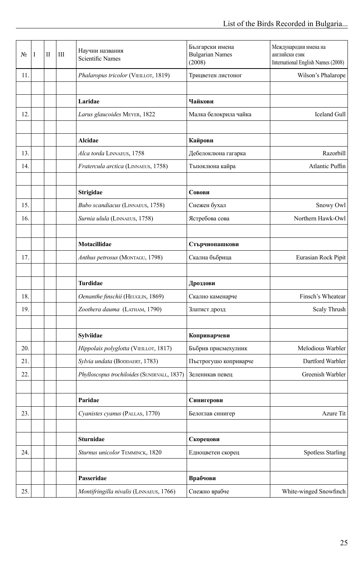| N <sub>2</sub> | I | П | III | Научни названия<br><b>Scientific Names</b>  | Български имена<br><b>Bulgarian Names</b><br>(2008) | Международни имена на<br>английски език<br>International English Names (2008) |
|----------------|---|---|-----|---------------------------------------------|-----------------------------------------------------|-------------------------------------------------------------------------------|
| 11.            |   |   |     | Phalaropus tricolor (VIEILLOT, 1819)        | Трицветен листоног                                  | Wilson's Phalarope                                                            |
|                |   |   |     |                                             |                                                     |                                                                               |
|                |   |   |     | Laridae                                     | Чайкови                                             |                                                                               |
| 12.            |   |   |     | Larus glaucoides MEYER, 1822                | Малка белокрила чайка                               | <b>Iceland Gull</b>                                                           |
|                |   |   |     |                                             |                                                     |                                                                               |
|                |   |   |     | Alcidae                                     | Кайрови                                             |                                                                               |
| 13.            |   |   |     | Alca torda LINNAEUS, 1758                   | Дебелоклюна гагарка                                 | Razorbill                                                                     |
| 14.            |   |   |     | Fratercula arctica (LINNAEUS, 1758)         | Тъпоклюна кайра                                     | Atlantic Puffin                                                               |
|                |   |   |     | Strigidae                                   | Совови                                              |                                                                               |
| 15.            |   |   |     | Bubo scandiacus (LINNAEUS, 1758)            | Снежен бухал                                        | Snowy Owl                                                                     |
| 16.            |   |   |     | Surnia ulula (LINNAEUS, 1758)               | Ястребова сова                                      | Northern Hawk-Owl                                                             |
|                |   |   |     |                                             |                                                     |                                                                               |
|                |   |   |     | Motacillidae                                | Стърчиопашкови                                      |                                                                               |
| 17.            |   |   |     | Anthus petrosus (MONTAGU, 1798)             | Скална бъбрица                                      | Eurasian Rock Pipit                                                           |
|                |   |   |     |                                             |                                                     |                                                                               |
|                |   |   |     | Turdidae                                    | Дроздови                                            |                                                                               |
| 18.            |   |   |     | Oenanthe finschii (HEUGLIN, 1869)           | Скално каменарче                                    | Finsch's Wheatear                                                             |
| 19.            |   |   |     | Zoothera dauma (LATHAM, 1790)               | Златист дрозд                                       | Scaly Thrush                                                                  |
|                |   |   |     | Sylviidae                                   | Коприварчеви                                        |                                                                               |
| 20.            |   |   |     | Hippolais polyglotta (VIEILLOT, 1817)       | Бъбрив присмехулник                                 | Melodious Warbler                                                             |
| 21.            |   |   |     | Sylvia undata (BODDAERT, 1783)              | Пъстрогушо коприварче                               | Dartford Warbler                                                              |
| 22.            |   |   |     | Phylloscopus trochiloides (SUNDEVALL, 1837) | Зеленикав певец                                     | Greenish Warbler                                                              |
|                |   |   |     |                                             |                                                     |                                                                               |
|                |   |   |     | Paridae                                     | Синигерови                                          |                                                                               |
| 23.            |   |   |     | Cyanistes cyanus (PALLAS, 1770)             | Белоглав синигер                                    | Azure Tit                                                                     |
|                |   |   |     | <b>Sturnidae</b>                            | Скорецови                                           |                                                                               |
| 24.            |   |   |     | Sturnus unicolor TEMMINCK, 1820             | Едноцветен скорец                                   | <b>Spotless Starling</b>                                                      |
|                |   |   |     |                                             |                                                     |                                                                               |
|                |   |   |     | Passeridae                                  | Врабчови                                            |                                                                               |
| 25.            |   |   |     | Montifringilla nivalis (LINNAEUS, 1766)     | Снежно врабче                                       | White-winged Snowfinch                                                        |